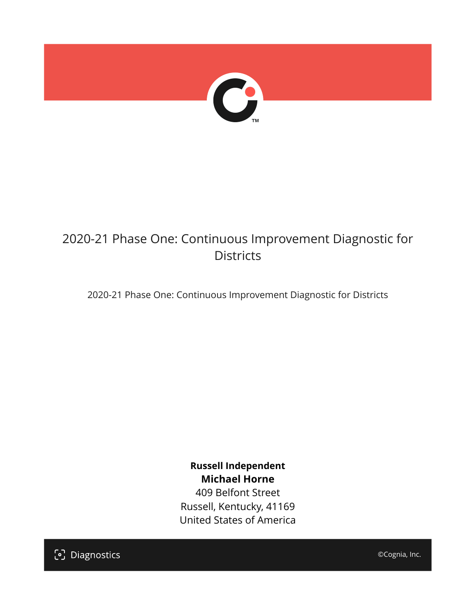

# 2020-21 Phase One: Continuous Improvement Diagnostic for **Districts**

2020-21 Phase One: Continuous Improvement Diagnostic for Districts

**Russell Independent Michael Horne** 409 Belfont Street

Russell, Kentucky, 41169 United States of America

[၁] Diagnostics

©Cognia, Inc.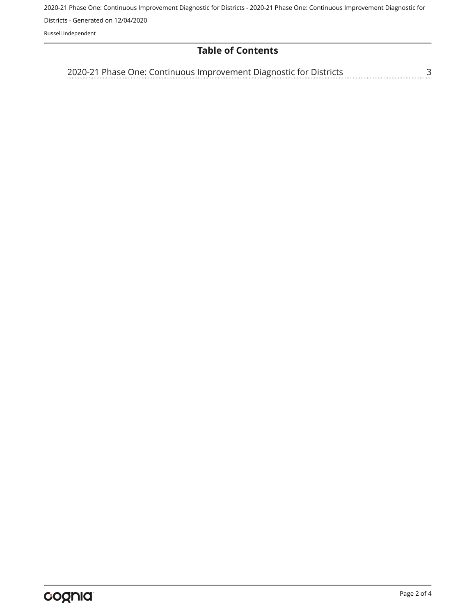2020-21 Phase One: Continuous Improvement Diagnostic for Districts - 2020-21 Phase One: Continuous Improvement Diagnostic for Districts - Generated on 12/04/2020

Russell Independent

## **Table of Contents**

[2020-21 Phase One: Continuous Improvement Diagnostic for Districts](#page-2-0)[3](#page-2-0)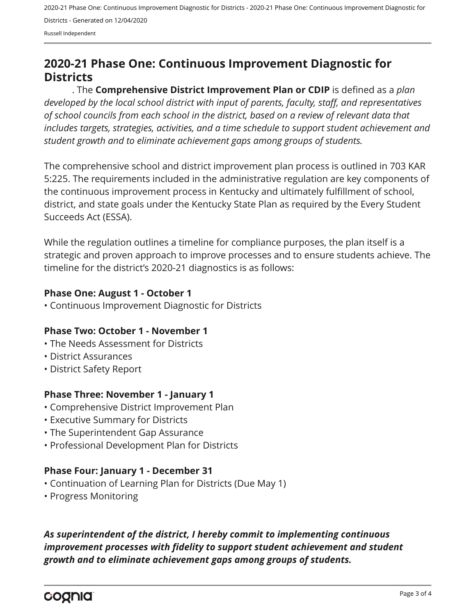2020-21 Phase One: Continuous Improvement Diagnostic for Districts - 2020-21 Phase One: Continuous Improvement Diagnostic for Districts - Generated on 12/04/2020

Russell Independent

# <span id="page-2-0"></span>**2020-21 Phase One: Continuous Improvement Diagnostic for Districts**

. The **Comprehensive District Improvement Plan or CDIP** is defined as a *plan developed by the local school district with input of parents, faculty, staff, and representatives of school councils from each school in the district, based on a review of relevant data that includes targets, strategies, activities, and a time schedule to support student achievement and student growth and to eliminate achievement gaps among groups of students.*

The comprehensive school and district improvement plan process is outlined in 703 KAR 5:225. The requirements included in the administrative regulation are key components of the continuous improvement process in Kentucky and ultimately fulfillment of school, district, and state goals under the Kentucky State Plan as required by the Every Student Succeeds Act (ESSA).

While the regulation outlines a timeline for compliance purposes, the plan itself is a strategic and proven approach to improve processes and to ensure students achieve. The timeline for the district's 2020-21 diagnostics is as follows:

#### **Phase One: August 1 - October 1**

• Continuous Improvement Diagnostic for Districts

## **Phase Two: October 1 - November 1**

- The Needs Assessment for Districts
- District Assurances
- District Safety Report

## **Phase Three: November 1 - January 1**

- Comprehensive District Improvement Plan
- Executive Summary for Districts
- The Superintendent Gap Assurance
- Professional Development Plan for Districts

## **Phase Four: January 1 - December 31**

- Continuation of Learning Plan for Districts (Due May 1)
- Progress Monitoring

*As superintendent of the district, I hereby commit to implementing continuous improvement processes with fidelity to support student achievement and student growth and to eliminate achievement gaps among groups of students.*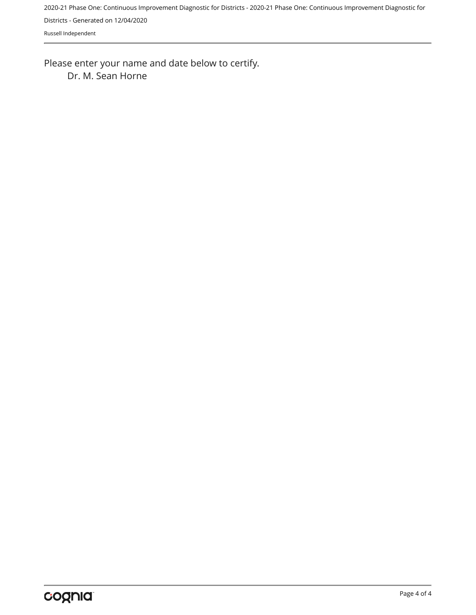2020-21 Phase One: Continuous Improvement Diagnostic for Districts - 2020-21 Phase One: Continuous Improvement Diagnostic for Districts - Generated on 12/04/2020

Russell Independent

Dr. M. Sean Horne Please enter your name and date below to certify.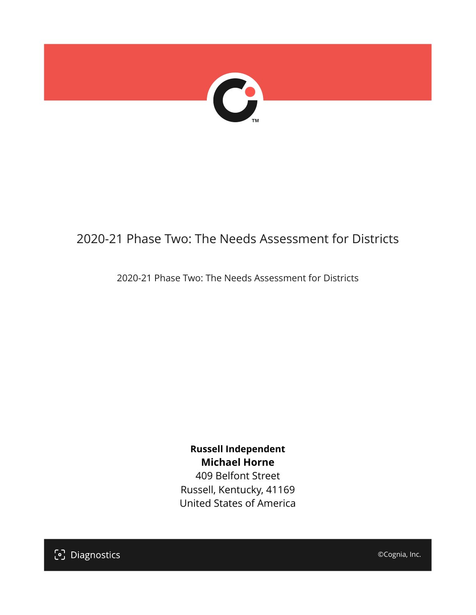

# 2020-21 Phase Two: The Needs Assessment for Districts

2020-21 Phase Two: The Needs Assessment for Districts

**Russell Independent Michael Horne** 409 Belfont Street Russell, Kentucky, 41169 United States of America

[၁] Diagnostics

©Cognia, Inc.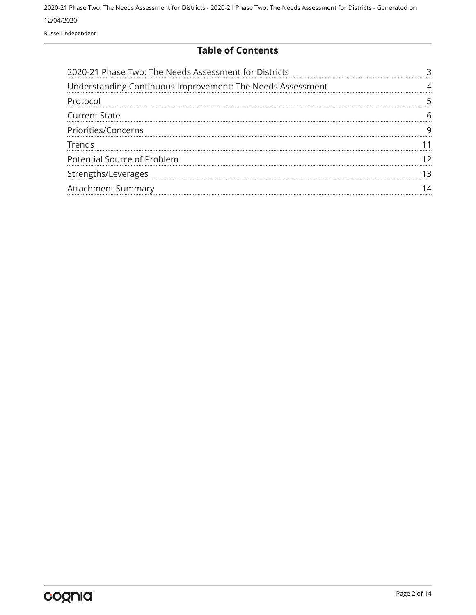Russell Independent

#### **Table of Contents**

| 2020-21 Phase Two: The Needs Assessment for Districts      |  |
|------------------------------------------------------------|--|
| Understanding Continuous Improvement: The Needs Assessment |  |
| Protocol                                                   |  |
| <b>Current State</b>                                       |  |
| Priorities/Concerns                                        |  |
| Trends                                                     |  |
| Potential Source of Problem                                |  |
| Strengths/Leverages                                        |  |
| Attachment Summary                                         |  |
|                                                            |  |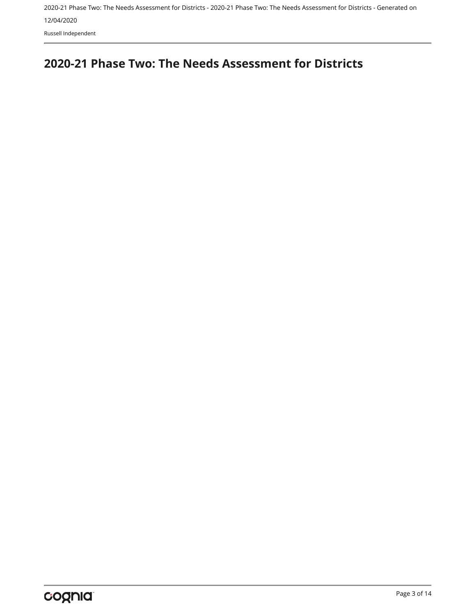Russell Independent

# <span id="page-6-0"></span>**2020-21 Phase Two: The Needs Assessment for Districts**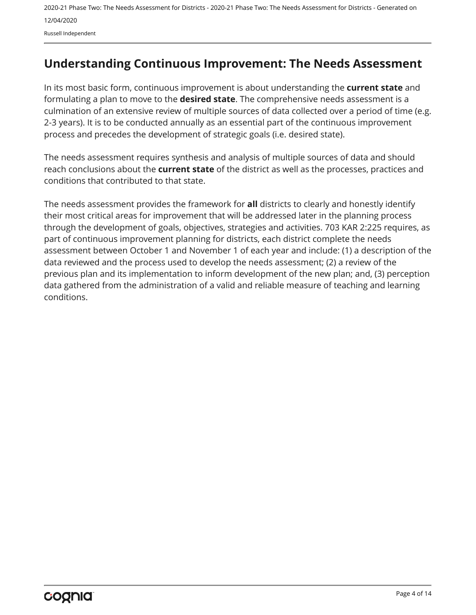Russell Independent

# <span id="page-7-0"></span>**Understanding Continuous Improvement: The Needs Assessment**

In its most basic form, continuous improvement is about understanding the **current state** and formulating a plan to move to the **desired state**. The comprehensive needs assessment is a culmination of an extensive review of multiple sources of data collected over a period of time (e.g. 2-3 years). It is to be conducted annually as an essential part of the continuous improvement process and precedes the development of strategic goals (i.e. desired state).

The needs assessment requires synthesis and analysis of multiple sources of data and should reach conclusions about the **current state** of the district as well as the processes, practices and conditions that contributed to that state.

The needs assessment provides the framework for **all** districts to clearly and honestly identify their most critical areas for improvement that will be addressed later in the planning process through the development of goals, objectives, strategies and activities. 703 KAR 2:225 requires, as part of continuous improvement planning for districts, each district complete the needs assessment between October 1 and November 1 of each year and include: (1) a description of the data reviewed and the process used to develop the needs assessment; (2) a review of the previous plan and its implementation to inform development of the new plan; and, (3) perception data gathered from the administration of a valid and reliable measure of teaching and learning conditions.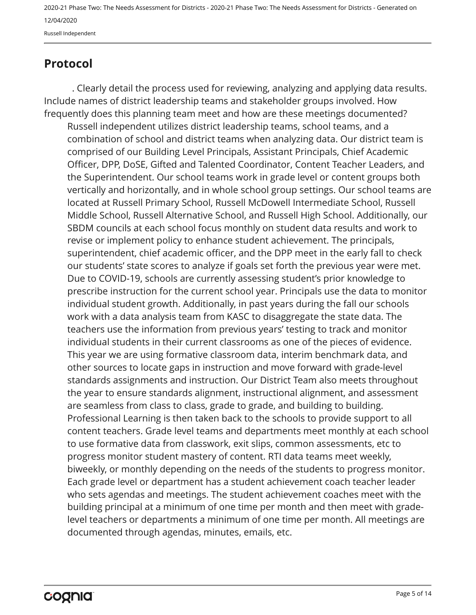Russell Independent

# <span id="page-8-0"></span>**Protocol**

. Clearly detail the process used for reviewing, analyzing and applying data results. Include names of district leadership teams and stakeholder groups involved. How frequently does this planning team meet and how are these meetings documented?

Russell independent utilizes district leadership teams, school teams, and a combination of school and district teams when analyzing data. Our district team is comprised of our Building Level Principals, Assistant Principals, Chief Academic Officer, DPP, DoSE, Gifted and Talented Coordinator, Content Teacher Leaders, and the Superintendent. Our school teams work in grade level or content groups both vertically and horizontally, and in whole school group settings. Our school teams are located at Russell Primary School, Russell McDowell Intermediate School, Russell Middle School, Russell Alternative School, and Russell High School. Additionally, our SBDM councils at each school focus monthly on student data results and work to revise or implement policy to enhance student achievement. The principals, superintendent, chief academic officer, and the DPP meet in the early fall to check our students' state scores to analyze if goals set forth the previous year were met. Due to COVID-19, schools are currently assessing student's prior knowledge to prescribe instruction for the current school year. Principals use the data to monitor individual student growth. Additionally, in past years during the fall our schools work with a data analysis team from KASC to disaggregate the state data. The teachers use the information from previous years' testing to track and monitor individual students in their current classrooms as one of the pieces of evidence. This year we are using formative classroom data, interim benchmark data, and other sources to locate gaps in instruction and move forward with grade-level standards assignments and instruction. Our District Team also meets throughout the year to ensure standards alignment, instructional alignment, and assessment are seamless from class to class, grade to grade, and building to building. Professional Learning is then taken back to the schools to provide support to all content teachers. Grade level teams and departments meet monthly at each school to use formative data from classwork, exit slips, common assessments, etc to progress monitor student mastery of content. RTI data teams meet weekly, biweekly, or monthly depending on the needs of the students to progress monitor. Each grade level or department has a student achievement coach teacher leader who sets agendas and meetings. The student achievement coaches meet with the building principal at a minimum of one time per month and then meet with gradelevel teachers or departments a minimum of one time per month. All meetings are documented through agendas, minutes, emails, etc.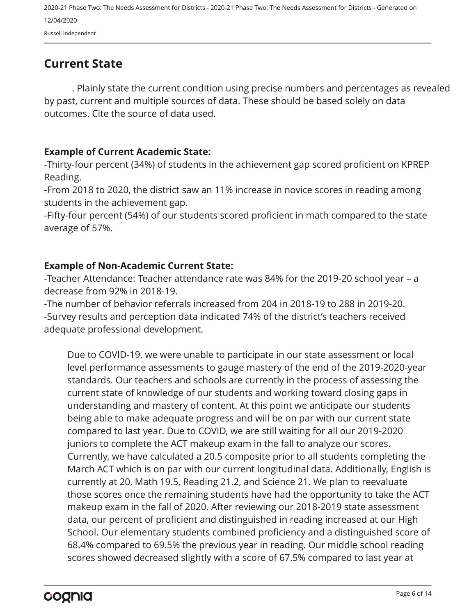Russell Independent

# <span id="page-9-0"></span>**Current State**

. Plainly state the current condition using precise numbers and percentages as revealed by past, current and multiple sources of data. These should be based solely on data outcomes. Cite the source of data used.

## **Example of Current Academic State:**

-Thirty-four percent (34%) of students in the achievement gap scored proficient on KPREP Reading.

-From 2018 to 2020, the district saw an 11% increase in novice scores in reading among students in the achievement gap.

-Fifty-four percent (54%) of our students scored proficient in math compared to the state average of 57%.

## **Example of Non-Academic Current State:**

-Teacher Attendance: Teacher attendance rate was 84% for the 2019-20 school year – a decrease from 92% in 2018-19.

-The number of behavior referrals increased from 204 in 2018-19 to 288 in 2019-20. -Survey results and perception data indicated 74% of the district's teachers received adequate professional development.

Due to COVID-19, we were unable to participate in our state assessment or local level performance assessments to gauge mastery of the end of the 2019-2020-year standards. Our teachers and schools are currently in the process of assessing the current state of knowledge of our students and working toward closing gaps in understanding and mastery of content. At this point we anticipate our students being able to make adequate progress and will be on par with our current state compared to last year. Due to COVID, we are still waiting for all our 2019-2020 juniors to complete the ACT makeup exam in the fall to analyze our scores. Currently, we have calculated a 20.5 composite prior to all students completing the March ACT which is on par with our current longitudinal data. Additionally, English is currently at 20, Math 19.5, Reading 21.2, and Science 21. We plan to reevaluate those scores once the remaining students have had the opportunity to take the ACT makeup exam in the fall of 2020. After reviewing our 2018-2019 state assessment data, our percent of proficient and distinguished in reading increased at our High School. Our elementary students combined proficiency and a distinguished score of 68.4% compared to 69.5% the previous year in reading. Our middle school reading scores showed decreased slightly with a score of 67.5% compared to last year at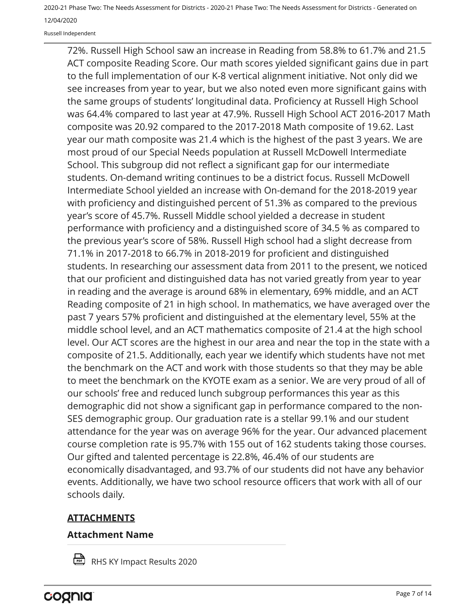Russell Independent

72%. Russell High School saw an increase in Reading from 58.8% to 61.7% and 21.5 ACT composite Reading Score. Our math scores yielded significant gains due in part to the full implementation of our K-8 vertical alignment initiative. Not only did we see increases from year to year, but we also noted even more significant gains with the same groups of students' longitudinal data. Proficiency at Russell High School was 64.4% compared to last year at 47.9%. Russell High School ACT 2016-2017 Math composite was 20.92 compared to the 2017-2018 Math composite of 19.62. Last year our math composite was 21.4 which is the highest of the past 3 years. We are most proud of our Special Needs population at Russell McDowell Intermediate School. This subgroup did not reflect a significant gap for our intermediate students. On-demand writing continues to be a district focus. Russell McDowell Intermediate School yielded an increase with On-demand for the 2018-2019 year with proficiency and distinguished percent of 51.3% as compared to the previous year's score of 45.7%. Russell Middle school yielded a decrease in student performance with proficiency and a distinguished score of 34.5 % as compared to the previous year's score of 58%. Russell High school had a slight decrease from 71.1% in 2017-2018 to 66.7% in 2018-2019 for proficient and distinguished students. In researching our assessment data from 2011 to the present, we noticed that our proficient and distinguished data has not varied greatly from year to year in reading and the average is around 68% in elementary, 69% middle, and an ACT Reading composite of 21 in high school. In mathematics, we have averaged over the past 7 years 57% proficient and distinguished at the elementary level, 55% at the middle school level, and an ACT mathematics composite of 21.4 at the high school level. Our ACT scores are the highest in our area and near the top in the state with a composite of 21.5. Additionally, each year we identify which students have not met the benchmark on the ACT and work with those students so that they may be able to meet the benchmark on the KYOTE exam as a senior. We are very proud of all of our schools' free and reduced lunch subgroup performances this year as this demographic did not show a significant gap in performance compared to the non-SES demographic group. Our graduation rate is a stellar 99.1% and our student attendance for the year was on average 96% for the year. Our advanced placement course completion rate is 95.7% with 155 out of 162 students taking those courses. Our gifted and talented percentage is 22.8%, 46.4% of our students are economically disadvantaged, and 93.7% of our students did not have any behavior events. Additionally, we have two school resource officers that work with all of our schools daily.

#### **ATTACHMENTS**

#### **Attachment Name**



RHS KY Impact Results 2020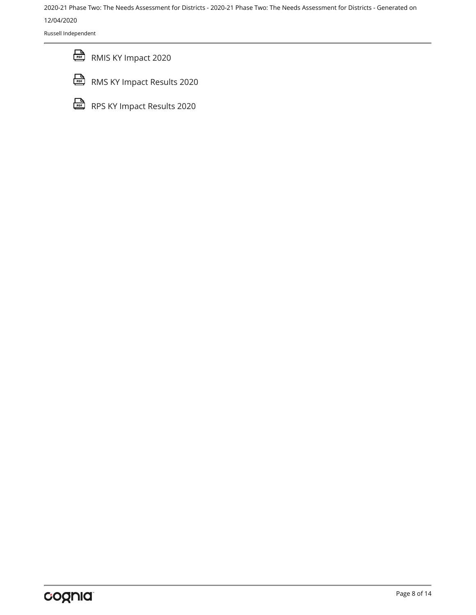Russell Independent



RMIS KY Impact 2020



RMS KY Impact Results 2020

RPS KY Impact Results 2020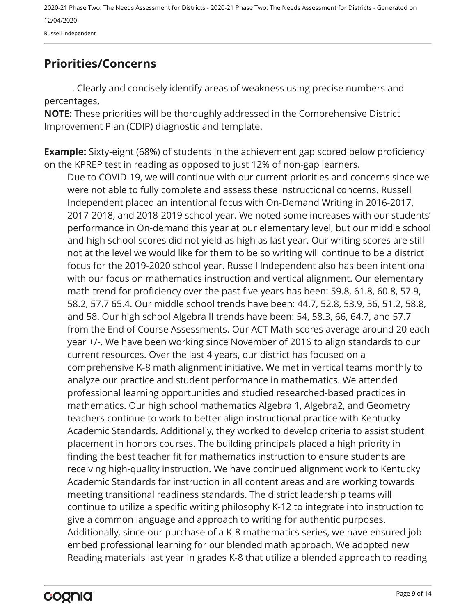Russell Independent

# <span id="page-12-0"></span>**Priorities/Concerns**

. Clearly and concisely identify areas of weakness using precise numbers and percentages.

**NOTE:** These priorities will be thoroughly addressed in the Comprehensive District Improvement Plan (CDIP) diagnostic and template.

**Example:** Sixty-eight (68%) of students in the achievement gap scored below proficiency on the KPREP test in reading as opposed to just 12% of non-gap learners.

Due to COVID-19, we will continue with our current priorities and concerns since we were not able to fully complete and assess these instructional concerns. Russell Independent placed an intentional focus with On-Demand Writing in 2016-2017, 2017-2018, and 2018-2019 school year. We noted some increases with our students' performance in On-demand this year at our elementary level, but our middle school and high school scores did not yield as high as last year. Our writing scores are still not at the level we would like for them to be so writing will continue to be a district focus for the 2019-2020 school year. Russell Independent also has been intentional with our focus on mathematics instruction and vertical alignment. Our elementary math trend for proficiency over the past five years has been: 59.8, 61.8, 60.8, 57.9, 58.2, 57.7 65.4. Our middle school trends have been: 44.7, 52.8, 53.9, 56, 51.2, 58.8, and 58. Our high school Algebra II trends have been: 54, 58.3, 66, 64.7, and 57.7 from the End of Course Assessments. Our ACT Math scores average around 20 each year +/-. We have been working since November of 2016 to align standards to our current resources. Over the last 4 years, our district has focused on a comprehensive K-8 math alignment initiative. We met in vertical teams monthly to analyze our practice and student performance in mathematics. We attended professional learning opportunities and studied researched-based practices in mathematics. Our high school mathematics Algebra 1, Algebra2, and Geometry teachers continue to work to better align instructional practice with Kentucky Academic Standards. Additionally, they worked to develop criteria to assist student placement in honors courses. The building principals placed a high priority in finding the best teacher fit for mathematics instruction to ensure students are receiving high-quality instruction. We have continued alignment work to Kentucky Academic Standards for instruction in all content areas and are working towards meeting transitional readiness standards. The district leadership teams will continue to utilize a specific writing philosophy K-12 to integrate into instruction to give a common language and approach to writing for authentic purposes. Additionally, since our purchase of a K-8 mathematics series, we have ensured job embed professional learning for our blended math approach. We adopted new Reading materials last year in grades K-8 that utilize a blended approach to reading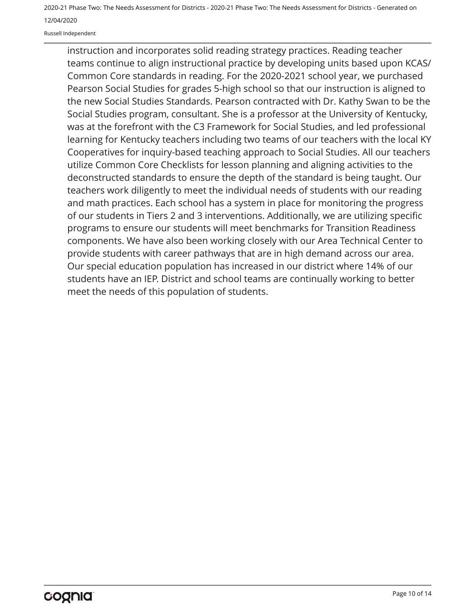Russell Independent

instruction and incorporates solid reading strategy practices. Reading teacher teams continue to align instructional practice by developing units based upon KCAS/ Common Core standards in reading. For the 2020-2021 school year, we purchased Pearson Social Studies for grades 5-high school so that our instruction is aligned to the new Social Studies Standards. Pearson contracted with Dr. Kathy Swan to be the Social Studies program, consultant. She is a professor at the University of Kentucky, was at the forefront with the C3 Framework for Social Studies, and led professional learning for Kentucky teachers including two teams of our teachers with the local KY Cooperatives for inquiry-based teaching approach to Social Studies. All our teachers utilize Common Core Checklists for lesson planning and aligning activities to the deconstructed standards to ensure the depth of the standard is being taught. Our teachers work diligently to meet the individual needs of students with our reading and math practices. Each school has a system in place for monitoring the progress of our students in Tiers 2 and 3 interventions. Additionally, we are utilizing specific programs to ensure our students will meet benchmarks for Transition Readiness components. We have also been working closely with our Area Technical Center to provide students with career pathways that are in high demand across our area. Our special education population has increased in our district where 14% of our students have an IEP. District and school teams are continually working to better meet the needs of this population of students.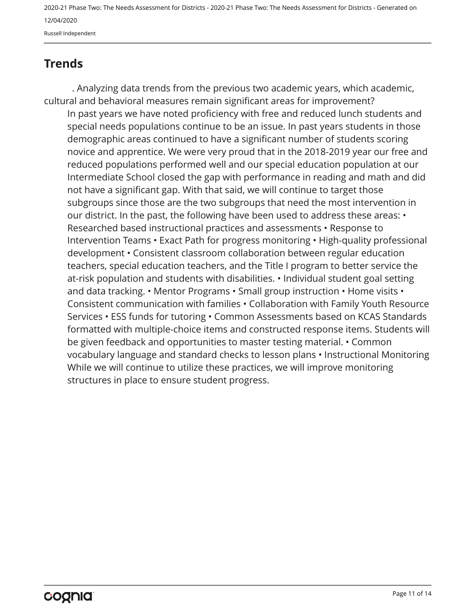Russell Independent

# <span id="page-14-0"></span>**Trends**

In past years we have noted proficiency with free and reduced lunch students and special needs populations continue to be an issue. In past years students in those demographic areas continued to have a significant number of students scoring novice and apprentice. We were very proud that in the 2018-2019 year our free and reduced populations performed well and our special education population at our Intermediate School closed the gap with performance in reading and math and did not have a significant gap. With that said, we will continue to target those subgroups since those are the two subgroups that need the most intervention in our district. In the past, the following have been used to address these areas: • Researched based instructional practices and assessments • Response to Intervention Teams • Exact Path for progress monitoring • High-quality professional development • Consistent classroom collaboration between regular education teachers, special education teachers, and the Title I program to better service the at-risk population and students with disabilities. • Individual student goal setting and data tracking. • Mentor Programs • Small group instruction • Home visits • Consistent communication with families • Collaboration with Family Youth Resource Services • ESS funds for tutoring • Common Assessments based on KCAS Standards formatted with multiple-choice items and constructed response items. Students will be given feedback and opportunities to master testing material. • Common vocabulary language and standard checks to lesson plans • Instructional Monitoring While we will continue to utilize these practices, we will improve monitoring structures in place to ensure student progress. . Analyzing data trends from the previous two academic years, which academic, cultural and behavioral measures remain significant areas for improvement?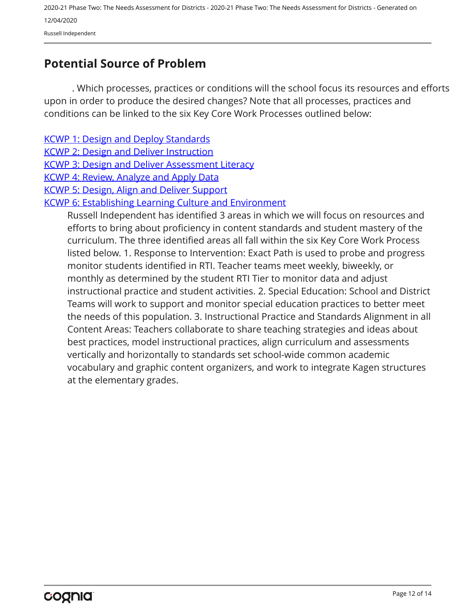# <span id="page-15-0"></span>**Potential Source of Problem**

. Which processes, practices or conditions will the school focus its resources and efforts upon in order to produce the desired changes? Note that all processes, practices and conditions can be linked to the six Key Core Work Processes outlined below:

**[KCWP 1: Design and Deploy Standards](https://education.ky.gov/school/csip/Documents/KCWP 1 Strategic Design and Deploy Standards.pdf)** 

[KCWP 2: Design and Deliver Instruction](https://education.ky.gov/school/csip/Documents/KCWP%202%20Strategic%20Design%20and%20Deliver%20Instruction.pdf)

[KCWP 3: Design and Deliver Assessment Literacy](https://education.ky.gov/school/csip/Documents/KCWP%203%20Strategic%20Design%20and%20Deliver%20Assessment%20Literacy.pdf)

[KCWP 4: Review, Analyze and Apply Data](https://education.ky.gov/school/csip/Documents/KCWP 4 Strategic Review Analyze and Apply Data.pdf)

[KCWP 5: Design, Align and Deliver Support](https://education.ky.gov/school/csip/Documents/KCWP 5 Strategic Design Align Deliver Support Processes.pdf)

[KCWP 6: Establishing Learning Culture and Environment](https://education.ky.gov/school/csip/Documents/KCWP 6 Strategic Establish Learning Culture and Environment.pdf)

Russell Independent has identified 3 areas in which we will focus on resources and efforts to bring about proficiency in content standards and student mastery of the curriculum. The three identified areas all fall within the six Key Core Work Process listed below. 1. Response to Intervention: Exact Path is used to probe and progress monitor students identified in RTI. Teacher teams meet weekly, biweekly, or monthly as determined by the student RTI Tier to monitor data and adjust instructional practice and student activities. 2. Special Education: School and District Teams will work to support and monitor special education practices to better meet the needs of this population. 3. Instructional Practice and Standards Alignment in all Content Areas: Teachers collaborate to share teaching strategies and ideas about best practices, model instructional practices, align curriculum and assessments vertically and horizontally to standards set school-wide common academic vocabulary and graphic content organizers, and work to integrate Kagen structures at the elementary grades.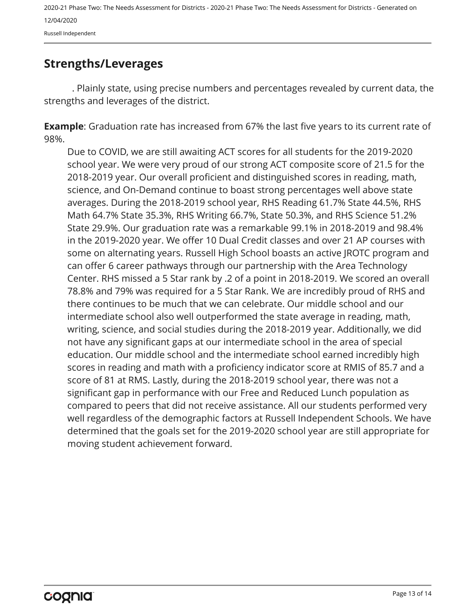Russell Independent

# <span id="page-16-0"></span>**Strengths/Leverages**

. Plainly state, using precise numbers and percentages revealed by current data, the strengths and leverages of the district.

**Example**: Graduation rate has increased from 67% the last five years to its current rate of 98%.

Due to COVID, we are still awaiting ACT scores for all students for the 2019-2020 school year. We were very proud of our strong ACT composite score of 21.5 for the 2018-2019 year. Our overall proficient and distinguished scores in reading, math, science, and On-Demand continue to boast strong percentages well above state averages. During the 2018-2019 school year, RHS Reading 61.7% State 44.5%, RHS Math 64.7% State 35.3%, RHS Writing 66.7%, State 50.3%, and RHS Science 51.2% State 29.9%. Our graduation rate was a remarkable 99.1% in 2018-2019 and 98.4% in the 2019-2020 year. We offer 10 Dual Credit classes and over 21 AP courses with some on alternating years. Russell High School boasts an active JROTC program and can offer 6 career pathways through our partnership with the Area Technology Center. RHS missed a 5 Star rank by .2 of a point in 2018-2019. We scored an overall 78.8% and 79% was required for a 5 Star Rank. We are incredibly proud of RHS and there continues to be much that we can celebrate. Our middle school and our intermediate school also well outperformed the state average in reading, math, writing, science, and social studies during the 2018-2019 year. Additionally, we did not have any significant gaps at our intermediate school in the area of special education. Our middle school and the intermediate school earned incredibly high scores in reading and math with a proficiency indicator score at RMIS of 85.7 and a score of 81 at RMS. Lastly, during the 2018-2019 school year, there was not a significant gap in performance with our Free and Reduced Lunch population as compared to peers that did not receive assistance. All our students performed very well regardless of the demographic factors at Russell Independent Schools. We have determined that the goals set for the 2019-2020 school year are still appropriate for moving student achievement forward.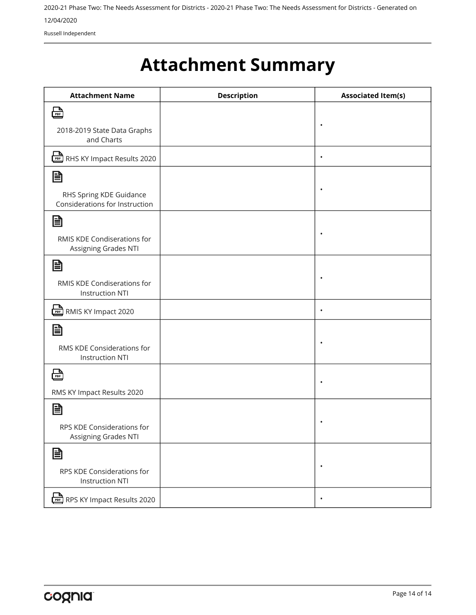Russell Independent

# <span id="page-17-0"></span>**Attachment Summary**

| <b>Attachment Name</b>                                    | <b>Description</b> | <b>Associated Item(s)</b> |
|-----------------------------------------------------------|--------------------|---------------------------|
| ∰                                                         |                    |                           |
| 2018-2019 State Data Graphs<br>and Charts                 |                    | $\bullet$                 |
| RHS KY Impact Results 2020                                |                    | $\bullet$                 |
| $\boldsymbol{\mathsf{\Xi}}$                               |                    |                           |
| RHS Spring KDE Guidance<br>Considerations for Instruction |                    | $\bullet$                 |
| B                                                         |                    |                           |
| RMIS KDE Condiserations for<br>Assigning Grades NTI       |                    | $\bullet$                 |
| B                                                         |                    |                           |
| RMIS KDE Condiserations for<br><b>Instruction NTI</b>     |                    | $\bullet$                 |
| RMIS KY Impact 2020                                       |                    | $\bullet$                 |
| B                                                         |                    |                           |
| RMS KDE Considerations for<br><b>Instruction NTI</b>      |                    | $\bullet$                 |
| ₩                                                         |                    |                           |
| RMS KY Impact Results 2020                                |                    | $\bullet$                 |
| B                                                         |                    |                           |
| RPS KDE Considerations for<br>Assigning Grades NTI        |                    |                           |
| B                                                         |                    |                           |
| RPS KDE Considerations for<br><b>Instruction NTI</b>      |                    | $\bullet$                 |
| RPS KY Impact Results 2020                                |                    | $\bullet$                 |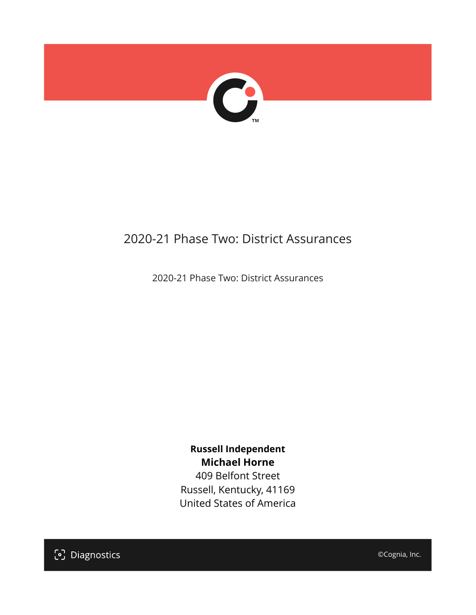

# 2020-21 Phase Two: District Assurances

2020-21 Phase Two: District Assurances

**Russell Independent Michael Horne** 409 Belfont Street Russell, Kentucky, 41169 United States of America

[၁] Diagnostics

©Cognia, Inc.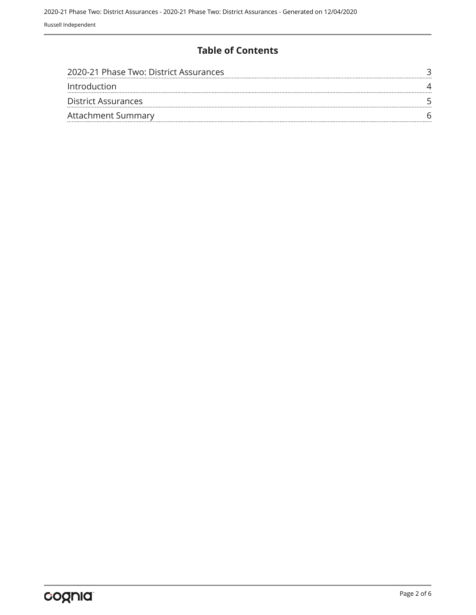## **Table of Contents**

| 2020-21 Phase Two: District Assurances |  |
|----------------------------------------|--|
| Introduction                           |  |
| District Assurances                    |  |
| Attachment Summary                     |  |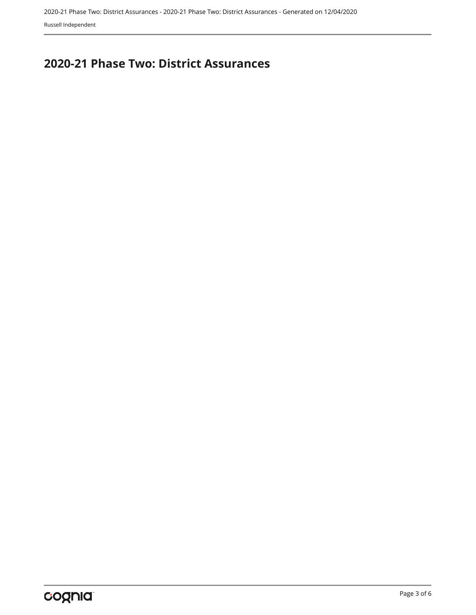Russell Independent

# <span id="page-20-0"></span>**2020-21 Phase Two: District Assurances**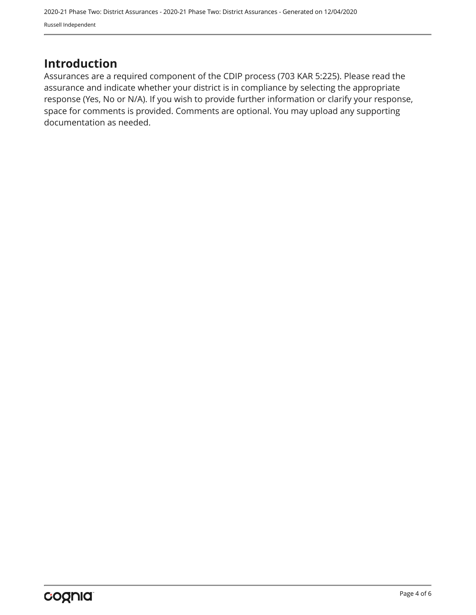2020-21 Phase Two: District Assurances - 2020-21 Phase Two: District Assurances - Generated on 12/04/2020 Russell Independent

# <span id="page-21-0"></span>**Introduction**

Assurances are a required component of the CDIP process (703 KAR 5:225). Please read the assurance and indicate whether your district is in compliance by selecting the appropriate response (Yes, No or N/A). If you wish to provide further information or clarify your response, space for comments is provided. Comments are optional. You may upload any supporting documentation as needed.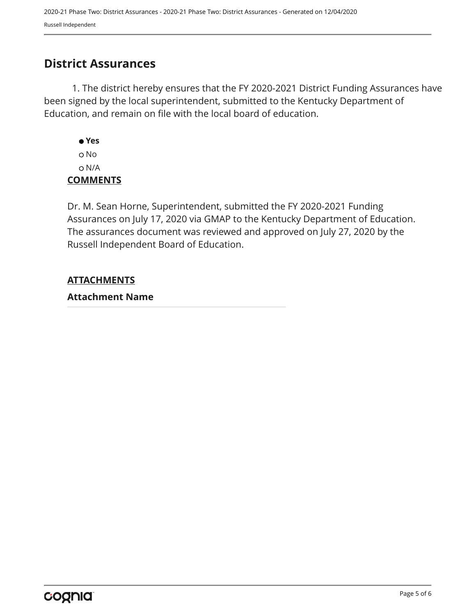# <span id="page-22-0"></span>**District Assurances**

1. The district hereby ensures that the FY 2020-2021 District Funding Assurances have been signed by the local superintendent, submitted to the Kentucky Department of Education, and remain on file with the local board of education.

 **Yes** o No N/A **COMMENTS**

Dr. M. Sean Horne, Superintendent, submitted the FY 2020-2021 Funding Assurances on July 17, 2020 via GMAP to the Kentucky Department of Education. The assurances document was reviewed and approved on July 27, 2020 by the Russell Independent Board of Education.

# **ATTACHMENTS**

**Attachment Name**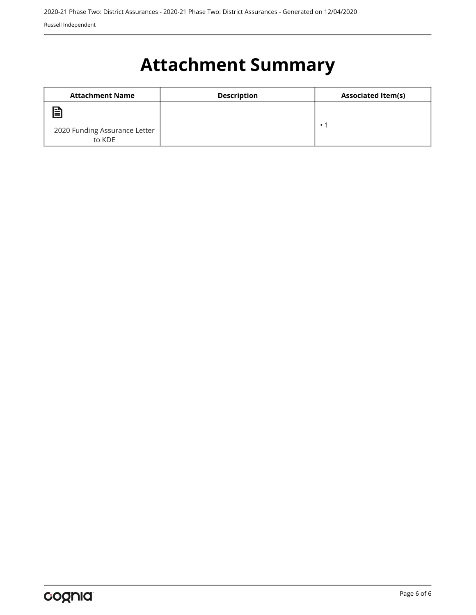Russell Independent

# <span id="page-23-0"></span>**Attachment Summary**

| <b>Attachment Name</b>                  | <b>Description</b> | <b>Associated Item(s)</b> |
|-----------------------------------------|--------------------|---------------------------|
| 冒                                       |                    |                           |
| 2020 Funding Assurance Letter<br>to KDE |                    | $\cdot$ 1                 |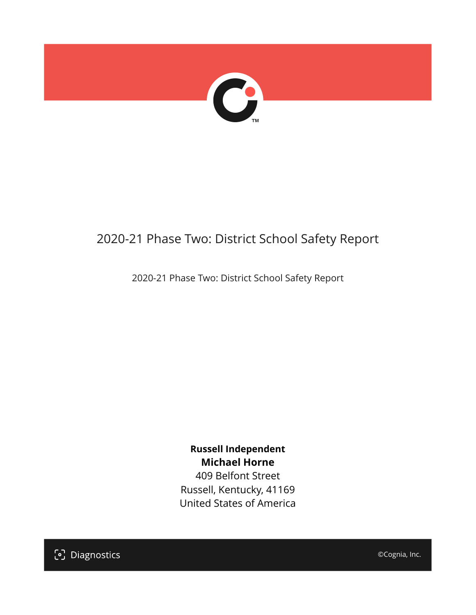

# 2020-21 Phase Two: District School Safety Report

2020-21 Phase Two: District School Safety Report

**Russell Independent Michael Horne** 409 Belfont Street Russell, Kentucky, 41169 United States of America

[၁] Diagnostics

©Cognia, Inc.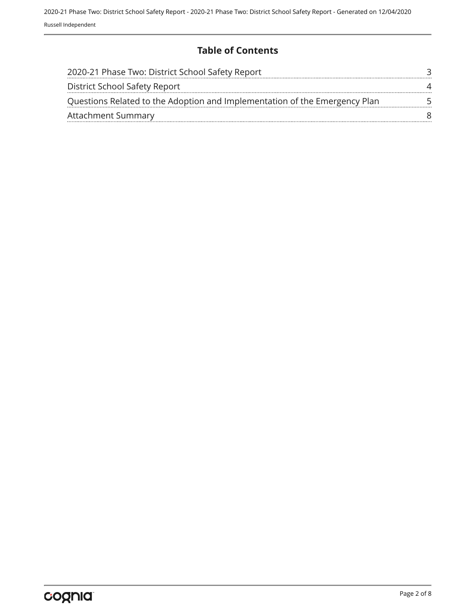## **Table of Contents**

| 2020-21 Phase Two: District School Safety Report                           |  |
|----------------------------------------------------------------------------|--|
| District School Safety Report                                              |  |
| Questions Related to the Adoption and Implementation of the Emergency Plan |  |
| <b>Attachment Summary</b>                                                  |  |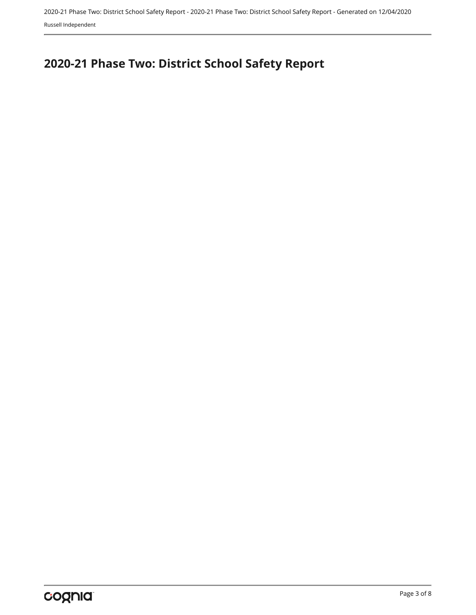# <span id="page-26-0"></span>**2020-21 Phase Two: District School Safety Report**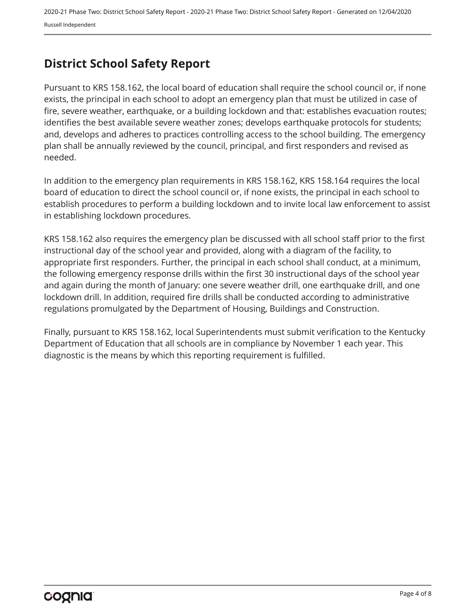# <span id="page-27-0"></span>**District School Safety Report**

Pursuant to KRS 158.162, the local board of education shall require the school council or, if none exists, the principal in each school to adopt an emergency plan that must be utilized in case of fire, severe weather, earthquake, or a building lockdown and that: establishes evacuation routes; identifies the best available severe weather zones; develops earthquake protocols for students; and, develops and adheres to practices controlling access to the school building. The emergency plan shall be annually reviewed by the council, principal, and first responders and revised as needed.

In addition to the emergency plan requirements in KRS 158.162, KRS 158.164 requires the local board of education to direct the school council or, if none exists, the principal in each school to establish procedures to perform a building lockdown and to invite local law enforcement to assist in establishing lockdown procedures.

KRS 158.162 also requires the emergency plan be discussed with all school staff prior to the first instructional day of the school year and provided, along with a diagram of the facility, to appropriate first responders. Further, the principal in each school shall conduct, at a minimum, the following emergency response drills within the first 30 instructional days of the school year and again during the month of January: one severe weather drill, one earthquake drill, and one lockdown drill. In addition, required fire drills shall be conducted according to administrative regulations promulgated by the Department of Housing, Buildings and Construction.

Finally, pursuant to KRS 158.162, local Superintendents must submit verification to the Kentucky Department of Education that all schools are in compliance by November 1 each year. This diagnostic is the means by which this reporting requirement is fulfilled.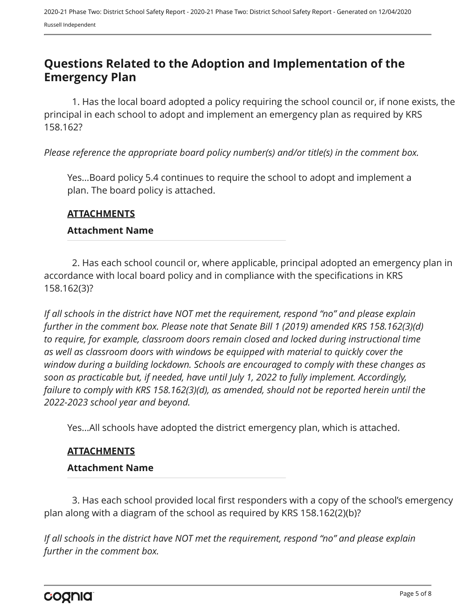# <span id="page-28-0"></span>**Questions Related to the Adoption and Implementation of the Emergency Plan**

1. Has the local board adopted a policy requiring the school council or, if none exists, the principal in each school to adopt and implement an emergency plan as required by KRS 158.162?

*Please reference the appropriate board policy number(s) and/or title(s) in the comment box.*

Yes...Board policy 5.4 continues to require the school to adopt and implement a plan. The board policy is attached.

## **ATTACHMENTS**

## **Attachment Name**

2. Has each school council or, where applicable, principal adopted an emergency plan in accordance with local board policy and in compliance with the specifications in KRS 158.162(3)?

*If all schools in the district have NOT met the requirement, respond "no" and please explain further in the comment box. Please note that Senate Bill 1 (2019) amended KRS 158.162(3)(d) to require, for example, classroom doors remain closed and locked during instructional time as well as classroom doors with windows be equipped with material to quickly cover the window during a building lockdown. Schools are encouraged to comply with these changes as soon as practicable but, if needed, have until July 1, 2022 to fully implement. Accordingly, failure to comply with KRS 158.162(3)(d), as amended, should not be reported herein until the 2022-2023 school year and beyond.* 

Yes...All schools have adopted the district emergency plan, which is attached.

## **ATTACHMENTS**

## **Attachment Name**

3. Has each school provided local first responders with a copy of the school's emergency plan along with a diagram of the school as required by KRS 158.162(2)(b)?

*If all schools in the district have NOT met the requirement, respond "no" and please explain further in the comment box.*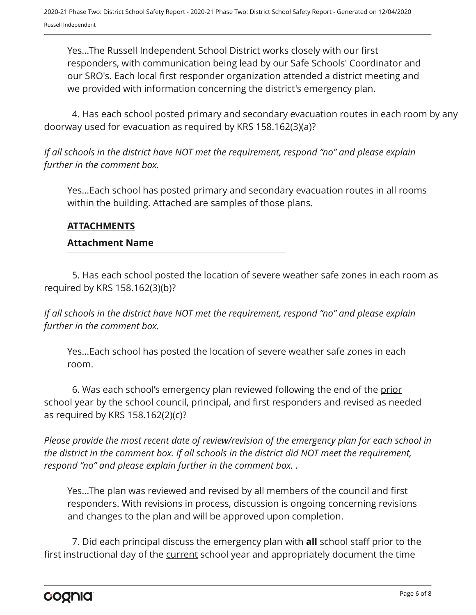Yes...The Russell Independent School District works closely with our first responders, with communication being lead by our Safe Schools' Coordinator and our SRO's. Each local first responder organization attended a district meeting and we provided with information concerning the district's emergency plan.

4. Has each school posted primary and secondary evacuation routes in each room by any doorway used for evacuation as required by KRS 158.162(3)(a)?

*If all schools in the district have NOT met the requirement, respond "no" and please explain further in the comment box.*

Yes...Each school has posted primary and secondary evacuation routes in all rooms within the building. Attached are samples of those plans.

## **ATTACHMENTS**

#### **Attachment Name**

5. Has each school posted the location of severe weather safe zones in each room as required by KRS 158.162(3)(b)?

*If all schools in the district have NOT met the requirement, respond "no" and please explain further in the comment box.*

Yes...Each school has posted the location of severe weather safe zones in each room.

6. Was each school's emergency plan reviewed following the end of the prior school year by the school council, principal, and first responders and revised as needed as required by KRS 158.162(2)(c)?

*Please provide the most recent date of review/revision of the emergency plan for each school in the district in the comment box. If all schools in the district did NOT meet the requirement, respond "no" and please explain further in the comment box. .*

Yes...The plan was reviewed and revised by all members of the council and first responders. With revisions in process, discussion is ongoing concerning revisions and changes to the plan and will be approved upon completion.

7. Did each principal discuss the emergency plan with **all** school staff prior to the first instructional day of the current school year and appropriately document the time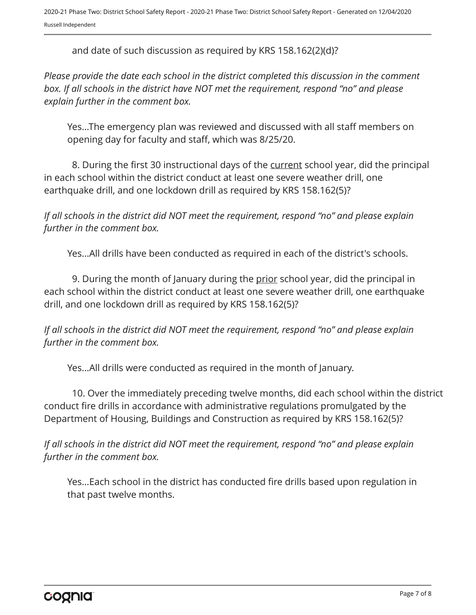and date of such discussion as required by KRS 158.162(2)(d)?

*Please provide the date each school in the district completed this discussion in the comment box. If all schools in the district have NOT met the requirement, respond "no" and please explain further in the comment box.*

Yes...The emergency plan was reviewed and discussed with all staff members on opening day for faculty and staff, which was 8/25/20.

8. During the first 30 instructional days of the current school year, did the principal in each school within the district conduct at least one severe weather drill, one earthquake drill, and one lockdown drill as required by KRS 158.162(5)?

*If all schools in the district did NOT meet the requirement, respond "no" and please explain further in the comment box.*

Yes...All drills have been conducted as required in each of the district's schools.

9. During the month of January during the prior school year, did the principal in each school within the district conduct at least one severe weather drill, one earthquake drill, and one lockdown drill as required by KRS 158.162(5)?

*If all schools in the district did NOT meet the requirement, respond "no" and please explain further in the comment box.*

Yes...All drills were conducted as required in the month of January.

10. Over the immediately preceding twelve months, did each school within the district conduct fire drills in accordance with administrative regulations promulgated by the Department of Housing, Buildings and Construction as required by KRS 158.162(5)?

*If all schools in the district did NOT meet the requirement, respond "no" and please explain further in the comment box.*

Yes...Each school in the district has conducted fire drills based upon regulation in that past twelve months.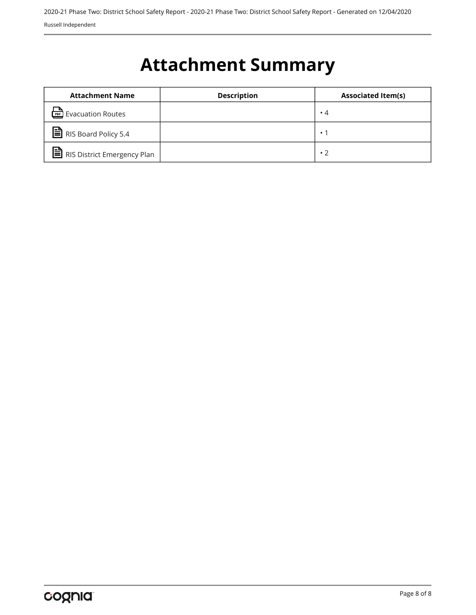# <span id="page-31-0"></span>**Attachment Summary**

| <b>Attachment Name</b>                          | <b>Description</b> | <b>Associated Item(s)</b> |
|-------------------------------------------------|--------------------|---------------------------|
| Evacuation Routes                               |                    | $\cdot$ 4                 |
| $\sum$ RIS Board Policy 5.4                     |                    | $\bullet$                 |
| $\sum$ RIS District Emergency Plan <sup>1</sup> |                    | $\cdot$ 2                 |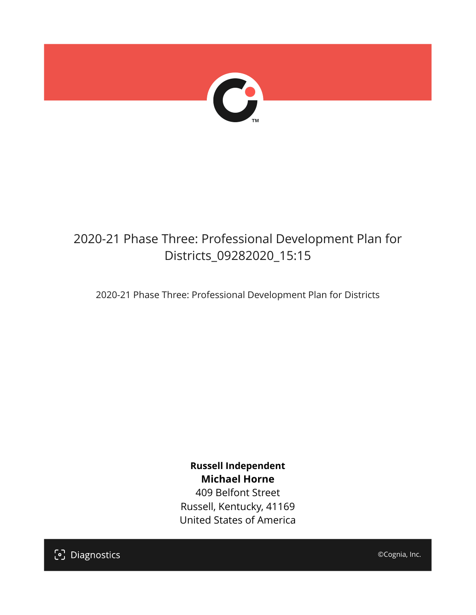

# 2020-21 Phase Three: Professional Development Plan for Districts\_09282020\_15:15

2020-21 Phase Three: Professional Development Plan for Districts

**Russell Independent Michael Horne**

409 Belfont Street Russell, Kentucky, 41169 United States of America

[၁] Diagnostics

©Cognia, Inc.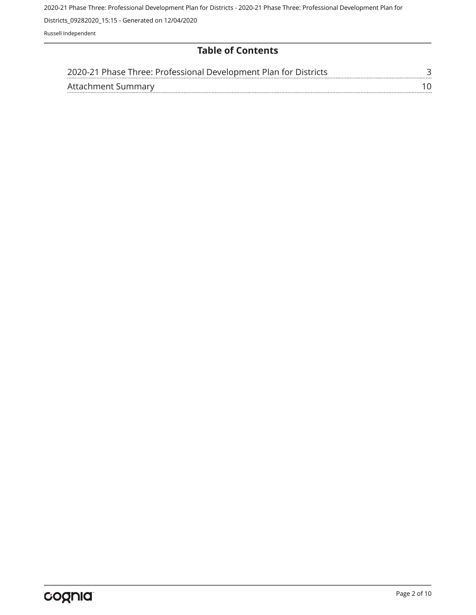2020-21 Phase Three: Professional Development Plan for Districts - 2020-21 Phase Three: Professional Development Plan for

Districts\_09282020\_15:15 - Generated on 12/04/2020

Russell Independent

## **Table of Contents**

| 2020-21 Phase Three: Professional Development Plan for Districts |  |
|------------------------------------------------------------------|--|
| Attachment Summary                                               |  |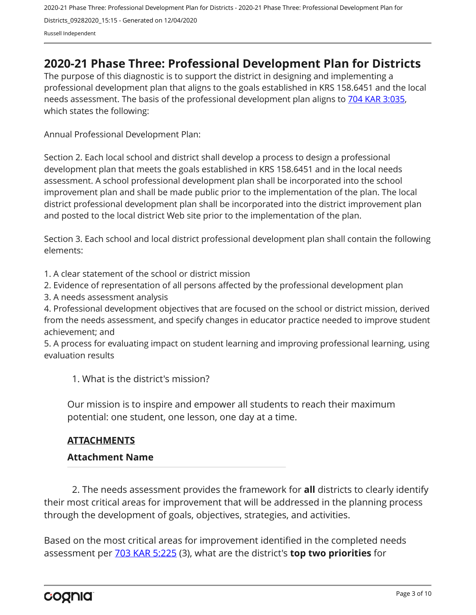2020-21 Phase Three: Professional Development Plan for Districts - 2020-21 Phase Three: Professional Development Plan for Districts\_09282020\_15:15 - Generated on 12/04/2020 Russell Independent

# <span id="page-34-0"></span>**2020-21 Phase Three: Professional Development Plan for Districts**

The purpose of this diagnostic is to support the district in designing and implementing a professional development plan that aligns to the goals established in KRS 158.6451 and the local needs assessment. The basis of the professional development plan aligns to [704 KAR 3:035,](https://apps.legislature.ky.gov/Law/kar/704/003/035.pdf) which states the following:

Annual Professional Development Plan:

Section 2. Each local school and district shall develop a process to design a professional development plan that meets the goals established in KRS 158.6451 and in the local needs assessment. A school professional development plan shall be incorporated into the school improvement plan and shall be made public prior to the implementation of the plan. The local district professional development plan shall be incorporated into the district improvement plan and posted to the local district Web site prior to the implementation of the plan.

Section 3. Each school and local district professional development plan shall contain the following elements:

1. A clear statement of the school or district mission

2. Evidence of representation of all persons affected by the professional development plan

3. A needs assessment analysis

4. Professional development objectives that are focused on the school or district mission, derived from the needs assessment, and specify changes in educator practice needed to improve student achievement; and

5. A process for evaluating impact on student learning and improving professional learning, using evaluation results

1. What is the district's mission?

Our mission is to inspire and empower all students to reach their maximum potential: one student, one lesson, one day at a time.

## **ATTACHMENTS**

#### **Attachment Name**

2. The needs assessment provides the framework for **all** districts to clearly identify their most critical areas for improvement that will be addressed in the planning process through the development of goals, objectives, strategies, and activities.

Based on the most critical areas for improvement identified in the completed needs assessment per [703 KAR 5:225](https://apps.legislature.ky.gov/law/kar/703/005/225.pdf) (3), what are the district's **top two priorities** for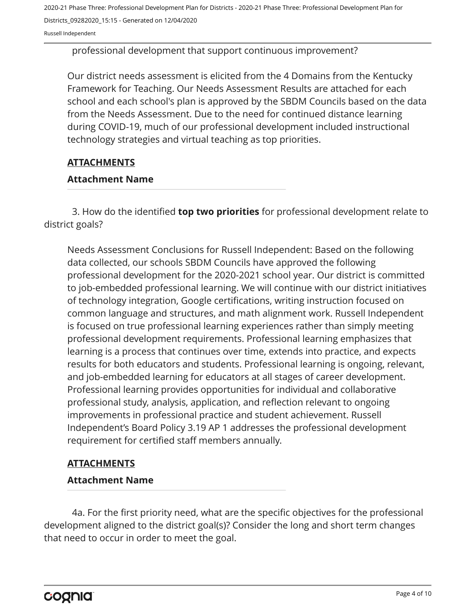2020-21 Phase Three: Professional Development Plan for Districts - 2020-21 Phase Three: Professional Development Plan for Districts\_09282020\_15:15 - Generated on 12/04/2020

Russell Independent

professional development that support continuous improvement?

Our district needs assessment is elicited from the 4 Domains from the Kentucky Framework for Teaching. Our Needs Assessment Results are attached for each school and each school's plan is approved by the SBDM Councils based on the data from the Needs Assessment. Due to the need for continued distance learning during COVID-19, much of our professional development included instructional technology strategies and virtual teaching as top priorities.

#### **ATTACHMENTS**

#### **Attachment Name**

3. How do the identified **top two priorities** for professional development relate to district goals?

Needs Assessment Conclusions for Russell Independent: Based on the following data collected, our schools SBDM Councils have approved the following professional development for the 2020-2021 school year. Our district is committed to job-embedded professional learning. We will continue with our district initiatives of technology integration, Google certifications, writing instruction focused on common language and structures, and math alignment work. Russell Independent is focused on true professional learning experiences rather than simply meeting professional development requirements. Professional learning emphasizes that learning is a process that continues over time, extends into practice, and expects results for both educators and students. Professional learning is ongoing, relevant, and job-embedded learning for educators at all stages of career development. Professional learning provides opportunities for individual and collaborative professional study, analysis, application, and reflection relevant to ongoing improvements in professional practice and student achievement. Russell Independent's Board Policy 3.19 AP 1 addresses the professional development requirement for certified staff members annually.

## **ATTACHMENTS**

#### **Attachment Name**

4a. For the first priority need, what are the specific objectives for the professional development aligned to the district goal(s)? Consider the long and short term changes that need to occur in order to meet the goal.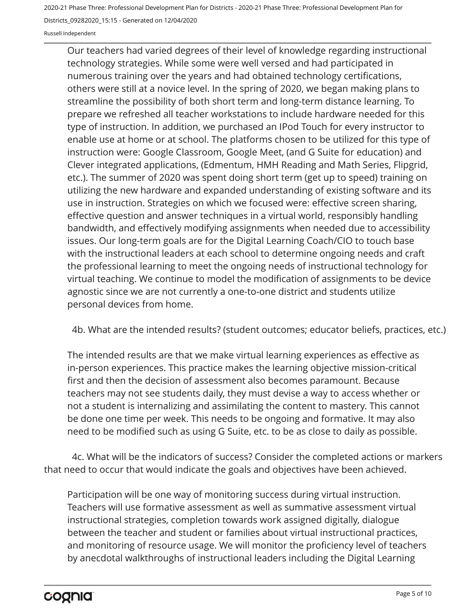2020-21 Phase Three: Professional Development Plan for Districts - 2020-21 Phase Three: Professional Development Plan for

Districts\_09282020\_15:15 - Generated on 12/04/2020

Russell Independent

Our teachers had varied degrees of their level of knowledge regarding instructional technology strategies. While some were well versed and had participated in numerous training over the years and had obtained technology certifications, others were still at a novice level. In the spring of 2020, we began making plans to streamline the possibility of both short term and long-term distance learning. To prepare we refreshed all teacher workstations to include hardware needed for this type of instruction. In addition, we purchased an IPod Touch for every instructor to enable use at home or at school. The platforms chosen to be utilized for this type of instruction were: Google Classroom, Google Meet, (and G Suite for education) and Clever integrated applications, (Edmentum, HMH Reading and Math Series, Flipgrid, etc.). The summer of 2020 was spent doing short term (get up to speed) training on utilizing the new hardware and expanded understanding of existing software and its use in instruction. Strategies on which we focused were: effective screen sharing, effective question and answer techniques in a virtual world, responsibly handling bandwidth, and effectively modifying assignments when needed due to accessibility issues. Our long-term goals are for the Digital Learning Coach/CIO to touch base with the instructional leaders at each school to determine ongoing needs and craft the professional learning to meet the ongoing needs of instructional technology for virtual teaching. We continue to model the modification of assignments to be device agnostic since we are not currently a one-to-one district and students utilize personal devices from home.

4b. What are the intended results? (student outcomes; educator beliefs, practices, etc.)

The intended results are that we make virtual learning experiences as effective as in-person experiences. This practice makes the learning objective mission-critical first and then the decision of assessment also becomes paramount. Because teachers may not see students daily, they must devise a way to access whether or not a student is internalizing and assimilating the content to mastery. This cannot be done one time per week. This needs to be ongoing and formative. It may also need to be modified such as using G Suite, etc. to be as close to daily as possible.

4c. What will be the indicators of success? Consider the completed actions or markers that need to occur that would indicate the goals and objectives have been achieved.

Participation will be one way of monitoring success during virtual instruction. Teachers will use formative assessment as well as summative assessment virtual instructional strategies, completion towards work assigned digitally, dialogue between the teacher and student or families about virtual instructional practices, and monitoring of resource usage. We will monitor the proficiency level of teachers by anecdotal walkthroughs of instructional leaders including the Digital Learning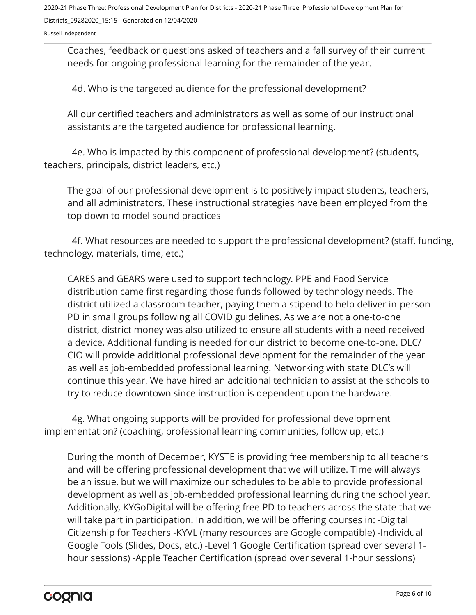Russell Independent

Coaches, feedback or questions asked of teachers and a fall survey of their current needs for ongoing professional learning for the remainder of the year.

4d. Who is the targeted audience for the professional development?

All our certified teachers and administrators as well as some of our instructional assistants are the targeted audience for professional learning.

4e. Who is impacted by this component of professional development? (students, teachers, principals, district leaders, etc.)

The goal of our professional development is to positively impact students, teachers, and all administrators. These instructional strategies have been employed from the top down to model sound practices

4f. What resources are needed to support the professional development? (staff, funding, technology, materials, time, etc.)

CARES and GEARS were used to support technology. PPE and Food Service distribution came first regarding those funds followed by technology needs. The district utilized a classroom teacher, paying them a stipend to help deliver in-person PD in small groups following all COVID guidelines. As we are not a one-to-one district, district money was also utilized to ensure all students with a need received a device. Additional funding is needed for our district to become one-to-one. DLC/ CIO will provide additional professional development for the remainder of the year as well as job-embedded professional learning. Networking with state DLC's will continue this year. We have hired an additional technician to assist at the schools to try to reduce downtown since instruction is dependent upon the hardware.

4g. What ongoing supports will be provided for professional development implementation? (coaching, professional learning communities, follow up, etc.)

During the month of December, KYSTE is providing free membership to all teachers and will be offering professional development that we will utilize. Time will always be an issue, but we will maximize our schedules to be able to provide professional development as well as job-embedded professional learning during the school year. Additionally, KYGoDigital will be offering free PD to teachers across the state that we will take part in participation. In addition, we will be offering courses in: -Digital Citizenship for Teachers -KYVL (many resources are Google compatible) -Individual Google Tools (Slides, Docs, etc.) -Level 1 Google Certification (spread over several 1 hour sessions) -Apple Teacher Certification (spread over several 1-hour sessions)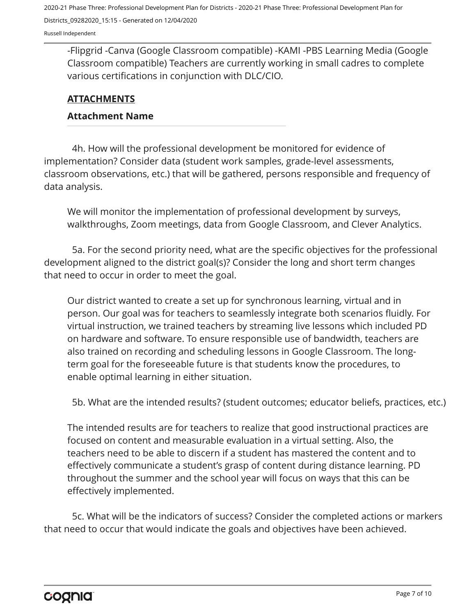Russell Independent

-Flipgrid -Canva (Google Classroom compatible) -KAMI -PBS Learning Media (Google Classroom compatible) Teachers are currently working in small cadres to complete various certifications in conjunction with DLC/CIO.

#### **ATTACHMENTS**

#### **Attachment Name**

4h. How will the professional development be monitored for evidence of implementation? Consider data (student work samples, grade-level assessments, classroom observations, etc.) that will be gathered, persons responsible and frequency of data analysis.

We will monitor the implementation of professional development by surveys, walkthroughs, Zoom meetings, data from Google Classroom, and Clever Analytics.

5a. For the second priority need, what are the specific objectives for the professional development aligned to the district goal(s)? Consider the long and short term changes that need to occur in order to meet the goal.

Our district wanted to create a set up for synchronous learning, virtual and in person. Our goal was for teachers to seamlessly integrate both scenarios fluidly. For virtual instruction, we trained teachers by streaming live lessons which included PD on hardware and software. To ensure responsible use of bandwidth, teachers are also trained on recording and scheduling lessons in Google Classroom. The longterm goal for the foreseeable future is that students know the procedures, to enable optimal learning in either situation.

5b. What are the intended results? (student outcomes; educator beliefs, practices, etc.)

The intended results are for teachers to realize that good instructional practices are focused on content and measurable evaluation in a virtual setting. Also, the teachers need to be able to discern if a student has mastered the content and to effectively communicate a student's grasp of content during distance learning. PD throughout the summer and the school year will focus on ways that this can be effectively implemented.

5c. What will be the indicators of success? Consider the completed actions or markers that need to occur that would indicate the goals and objectives have been achieved.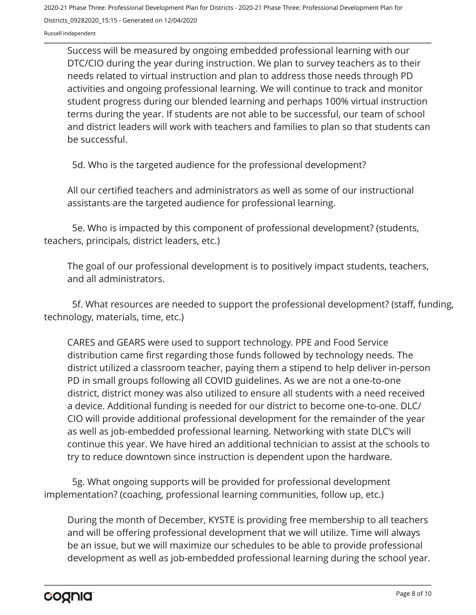Russell Independent

Success will be measured by ongoing embedded professional learning with our DTC/CIO during the year during instruction. We plan to survey teachers as to their needs related to virtual instruction and plan to address those needs through PD activities and ongoing professional learning. We will continue to track and monitor student progress during our blended learning and perhaps 100% virtual instruction terms during the year. If students are not able to be successful, our team of school and district leaders will work with teachers and families to plan so that students can be successful.

5d. Who is the targeted audience for the professional development?

All our certified teachers and administrators as well as some of our instructional assistants are the targeted audience for professional learning.

5e. Who is impacted by this component of professional development? (students, teachers, principals, district leaders, etc.)

The goal of our professional development is to positively impact students, teachers, and all administrators.

5f. What resources are needed to support the professional development? (staff, funding, technology, materials, time, etc.)

CARES and GEARS were used to support technology. PPE and Food Service distribution came first regarding those funds followed by technology needs. The district utilized a classroom teacher, paying them a stipend to help deliver in-person PD in small groups following all COVID guidelines. As we are not a one-to-one district, district money was also utilized to ensure all students with a need received a device. Additional funding is needed for our district to become one-to-one. DLC/ CIO will provide additional professional development for the remainder of the year as well as job-embedded professional learning. Networking with state DLC's will continue this year. We have hired an additional technician to assist at the schools to try to reduce downtown since instruction is dependent upon the hardware.

5g. What ongoing supports will be provided for professional development implementation? (coaching, professional learning communities, follow up, etc.)

During the month of December, KYSTE is providing free membership to all teachers and will be offering professional development that we will utilize. Time will always be an issue, but we will maximize our schedules to be able to provide professional development as well as job-embedded professional learning during the school year.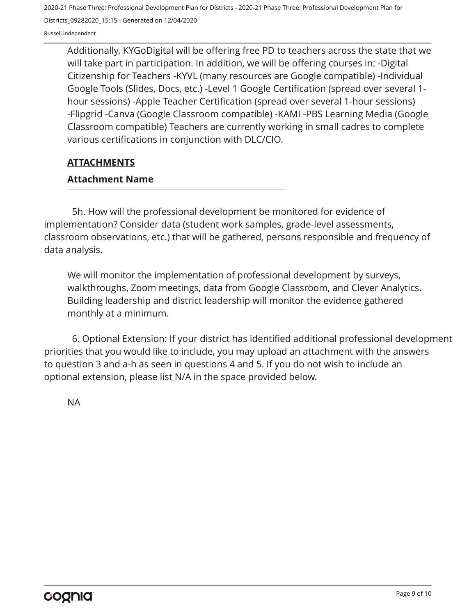Russell Independent

Additionally, KYGoDigital will be offering free PD to teachers across the state that we will take part in participation. In addition, we will be offering courses in: -Digital Citizenship for Teachers -KYVL (many resources are Google compatible) -Individual Google Tools (Slides, Docs, etc.) -Level 1 Google Certification (spread over several 1 hour sessions) -Apple Teacher Certification (spread over several 1-hour sessions) -Flipgrid -Canva (Google Classroom compatible) -KAMI -PBS Learning Media (Google Classroom compatible) Teachers are currently working in small cadres to complete various certifications in conjunction with DLC/CIO.

#### **ATTACHMENTS**

#### **Attachment Name**

5h. How will the professional development be monitored for evidence of implementation? Consider data (student work samples, grade-level assessments, classroom observations, etc.) that will be gathered, persons responsible and frequency of data analysis.

We will monitor the implementation of professional development by surveys, walkthroughs, Zoom meetings, data from Google Classroom, and Clever Analytics. Building leadership and district leadership will monitor the evidence gathered monthly at a minimum.

6. Optional Extension: If your district has identified additional professional development priorities that you would like to include, you may upload an attachment with the answers to question 3 and a-h as seen in questions 4 and 5. If you do not wish to include an optional extension, please list N/A in the space provided below.

NA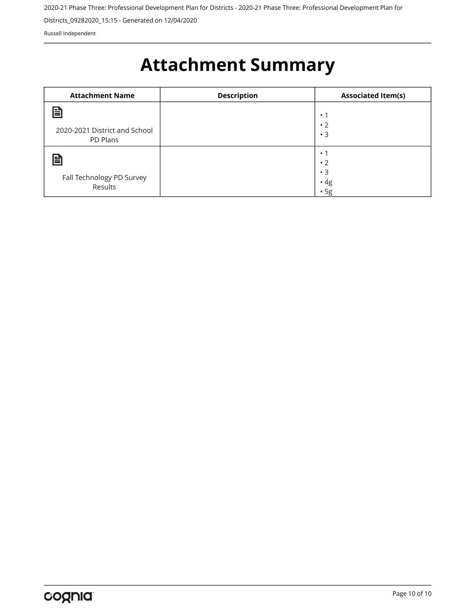2020-21 Phase Three: Professional Development Plan for Districts - 2020-21 Phase Three: Professional Development Plan for

Districts\_09282020\_15:15 - Generated on 12/04/2020

Russell Independent

# **Attachment Summary**

| <b>Attachment Name</b>               | <b>Description</b> | <b>Associated Item(s)</b>             |
|--------------------------------------|--------------------|---------------------------------------|
| B<br>2020-2021 District and School   |                    | $\cdot$ 1<br>$\cdot$ 2                |
| PD Plans                             |                    | $\cdot$ 3                             |
| B                                    |                    | $\bullet$<br>$\cdot$ 2                |
| Fall Technology PD Survey<br>Results |                    | $\cdot$ 3<br>$\cdot$ 4g<br>$\cdot$ 5g |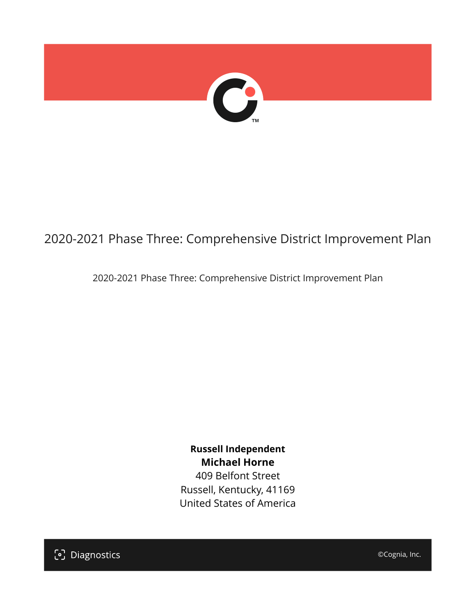

# 2020-2021 Phase Three: Comprehensive District Improvement Plan

2020-2021 Phase Three: Comprehensive District Improvement Plan

**Russell Independent Michael Horne** 409 Belfont Street Russell, Kentucky, 41169 United States of America

[၁] Diagnostics

©Cognia, Inc.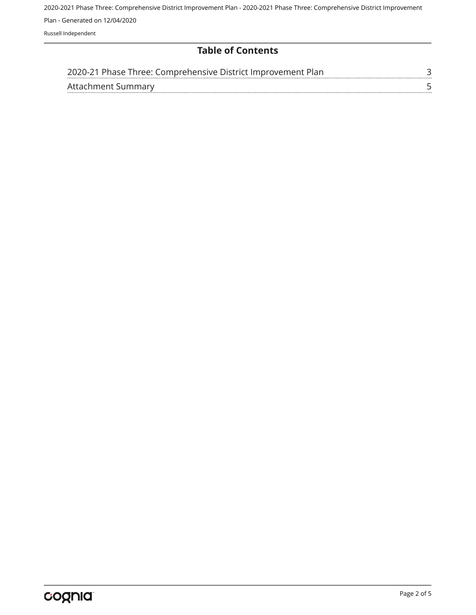2020-2021 Phase Three: Comprehensive District Improvement Plan - 2020-2021 Phase Three: Comprehensive District Improvement Plan - Generated on 12/04/2020 Russell Independent

#### **Table of Contents**

| 2020-21 Phase Three: Comprehensive District Improvement Plan |  |
|--------------------------------------------------------------|--|
| Affachment Summary                                           |  |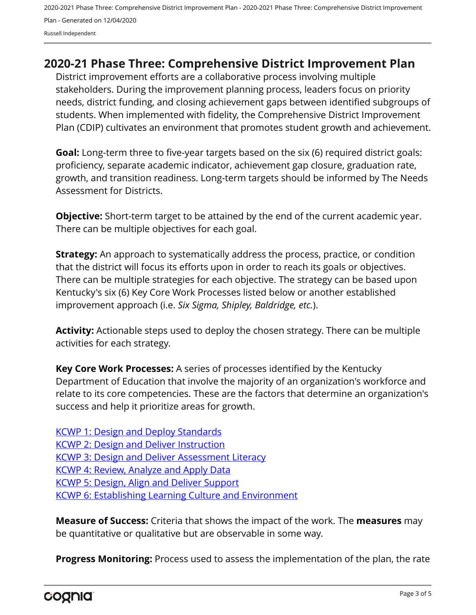2020-2021 Phase Three: Comprehensive District Improvement Plan - 2020-2021 Phase Three: Comprehensive District Improvement Plan - Generated on 12/04/2020 Russell Independent

### <span id="page-44-0"></span>**2020-21 Phase Three: Comprehensive District Improvement Plan**

District improvement efforts are a collaborative process involving multiple stakeholders. During the improvement planning process, leaders focus on priority needs, district funding, and closing achievement gaps between identified subgroups of students. When implemented with fidelity, the Comprehensive District Improvement Plan (CDIP) cultivates an environment that promotes student growth and achievement.

**Goal:** Long-term three to five-year targets based on the six (6) required district goals: proficiency, separate academic indicator, achievement gap closure, graduation rate, growth, and transition readiness. Long-term targets should be informed by The Needs Assessment for Districts.

**Objective:** Short-term target to be attained by the end of the current academic year. There can be multiple objectives for each goal.

**Strategy:** An approach to systematically address the process, practice, or condition that the district will focus its efforts upon in order to reach its goals or objectives. There can be multiple strategies for each objective. The strategy can be based upon Kentucky's six (6) Key Core Work Processes listed below or another established improvement approach (i.e. *Six Sigma, Shipley, Baldridge, etc.*).

**Activity:** Actionable steps used to deploy the chosen strategy. There can be multiple activities for each strategy.

**Key Core Work Processes:** A series of processes identified by the Kentucky Department of Education that involve the majority of an organization's workforce and relate to its core competencies. These are the factors that determine an organization's success and help it prioritize areas for growth.

[KCWP 1: Design and Deploy Standards](https://education.ky.gov/school/csip/Documents/KCWP%201%20Strategic%20Design%20and%20Deploy%20Standards.pdf) [KCWP 2: Design and Deliver Instruction](https://education.ky.gov/school/csip/Documents/KCWP%202%20Strategic%20Design%20and%20Deliver%20Instruction.pdf) [KCWP 3: Design and Deliver Assessment Literacy](https://education.ky.gov/school/csip/Documents/KCWP%203%20Strategic%20Design%20and%20Deliver%20Assessment%20Literacy.pdf) [KCWP 4: Review, Analyze and Apply Data](https://education.ky.gov/school/csip/Documents/KCWP%204%20Strategic%20Review%20Analyze%20and%20Apply%20Data.pdf) [KCWP 5: Design, Align and Deliver Support](https://education.ky.gov/school/csip/Documents/KCWP%205%20Strategic%20Design%20Align%20Deliver%20Support%20Processes.pdf) [KCWP 6: Establishing Learning Culture and Environment](https://education.ky.gov/school/csip/Documents/KCWP%206%20Strategic%20Establish%20Learning%20Culture%20and%20Environment.pdf)

**Measure of Success:** Criteria that shows the impact of the work. The **measures** may be quantitative or qualitative but are observable in some way.

**Progress Monitoring:** Process used to assess the implementation of the plan, the rate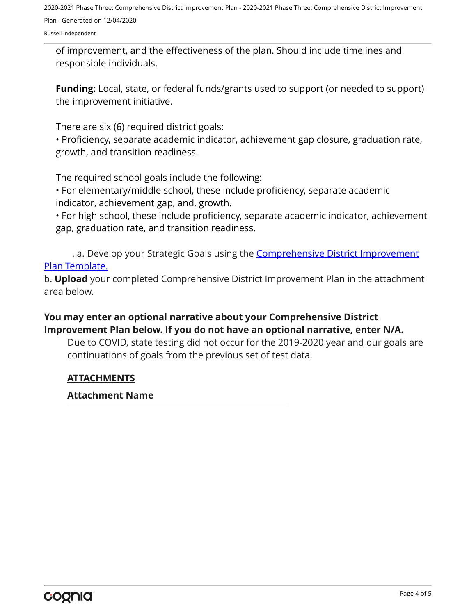2020-2021 Phase Three: Comprehensive District Improvement Plan - 2020-2021 Phase Three: Comprehensive District Improvement Plan - Generated on 12/04/2020

Russell Independent

of improvement, and the effectiveness of the plan. Should include timelines and responsible individuals.

**Funding:** Local, state, or federal funds/grants used to support (or needed to support) the improvement initiative.

There are six (6) required district goals:

• Proficiency, separate academic indicator, achievement gap closure, graduation rate, growth, and transition readiness.

The required school goals include the following:

• For elementary/middle school, these include proficiency, separate academic indicator, achievement gap, and, growth.

• For high school, these include proficiency, separate academic indicator, achievement gap, graduation rate, and transition readiness.

. a. Develop your Strategic Goals using the **[Comprehensive District Improvement](https://education.ky.gov/school/csip/Documents/KDE Comprehensive Improvement Plan for District.docx)** [Plan Template.](https://education.ky.gov/school/csip/Documents/KDE Comprehensive Improvement Plan for District.docx)

b. **Upload** your completed Comprehensive District Improvement Plan in the attachment area below.

#### **You may enter an optional narrative about your Comprehensive District Improvement Plan below. If you do not have an optional narrative, enter N/A.**

Due to COVID, state testing did not occur for the 2019-2020 year and our goals are continuations of goals from the previous set of test data.

#### **ATTACHMENTS**

#### **Attachment Name**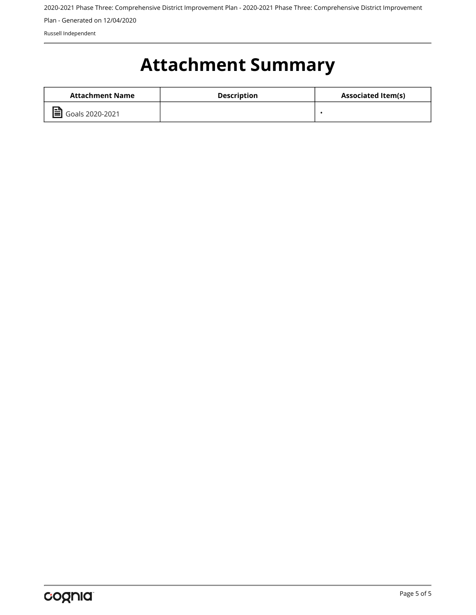2020-2021 Phase Three: Comprehensive District Improvement Plan - 2020-2021 Phase Three: Comprehensive District Improvement

Plan - Generated on 12/04/2020

Russell Independent

# <span id="page-46-0"></span>**Attachment Summary**

| Attachment Name | <b>Description</b> | <b>Associated Item(s)</b> |
|-----------------|--------------------|---------------------------|
| Goals 2020-2021 |                    |                           |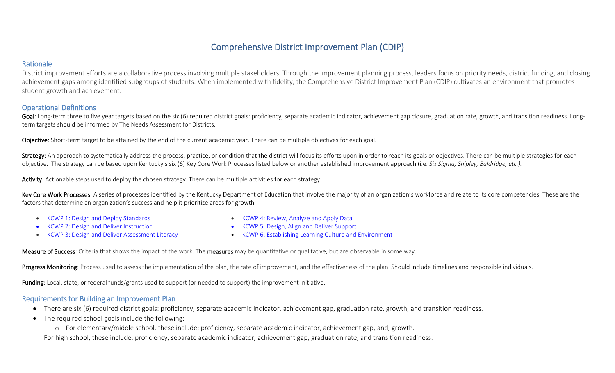## Comprehensive District Improvement Plan (CDIP)

#### Rationale

District improvement efforts are a collaborative process involving multiple stakeholders. Through the improvement planning process, leaders focus on priority needs, district funding, and closing achievement gaps among identified subgroups of students. When implemented with fidelity, the Comprehensive District Improvement Plan (CDIP) cultivates an environment that promotes student growth and achievement.

#### Operational Definitions

Goal: Long-term three to five year targets based on the six (6) required district goals: proficiency, separate academic indicator, achievement gap closure, graduation rate, growth, and transition readiness. Longterm targets should be informed by The Needs Assessment for Districts.

Objective: Short-term target to be attained by the end of the current academic year. There can be multiple objectives for each goal.

Strategy: An approach to systematically address the process, practice, or condition that the district will focus its efforts upon in order to reach its goals or objectives. There can be multiple strategies for each objective. The strategy can be based upon Kentucky's six (6) Key Core Work Processes listed below or another established improvement approach (i.e. *Six Sigma, Shipley, Baldridge, etc.).*

Activity: Actionable steps used to deploy the chosen strategy. There can be multiple activities for each strategy.

Key Core Work Processes: A series of processes identified by the Kentucky Department of Education that involve the majority of an organization's workforce and relate to its core competencies. These are the factors that determine an organization's success and help it prioritize areas for growth.

• [KCWP 1: Design and Deploy Standards](https://education.ky.gov/school/csip/Documents/KCWP%201%20Strategic%20Design%20and%20Deploy%20Standards.pdf)

• [KCWP 4: Review, Analyze and Apply Data](https://education.ky.gov/school/csip/Documents/KCWP%204%20Strategic%20Review%20Analyze%20and%20Apply%20Data.pdf)

- [KCWP 2: Design and Deliver Instruction](https://education.ky.gov/school/csip/Documents/KCWP%202%20Strategic%20Design%20and%20Deliver%20Instruction.pdf)
- [KCWP 3: Design and Deliver Assessment Literacy](https://education.ky.gov/school/csip/Documents/KCWP%203%20Strategic%20Design%20and%20Deliver%20Assessment%20Literacy.pdf)
- [KCWP 5: Design, Align and Deliver Support](https://education.ky.gov/school/csip/Documents/KCWP%205%20Strategic%20Design%20Align%20Deliver%20Support%20Processes.pdf)
- [KCWP 6: Establishing Learning Culture and Environment](https://education.ky.gov/school/csip/Documents/KCWP%206%20Strategic%20Establish%20Learning%20Culture%20and%20Environment.pdf)

Measure of Success: Criteria that shows the impact of the work. The measures may be quantitative or qualitative, but are observable in some way.

Progress Monitoring: Process used to assess the implementation of the plan, the rate of improvement, and the effectiveness of the plan. Should include timelines and responsible individuals.

Funding: Local, state, or federal funds/grants used to support (or needed to support) the improvement initiative.

#### Requirements for Building an Improvement Plan

- There are six (6) required district goals: proficiency, separate academic indicator, achievement gap, graduation rate, growth, and transition readiness.
- The required school goals include the following:
	- o For elementary/middle school, these include: proficiency, separate academic indicator, achievement gap, and, growth.

For high school, these include: proficiency, separate academic indicator, achievement gap, graduation rate, and transition readiness.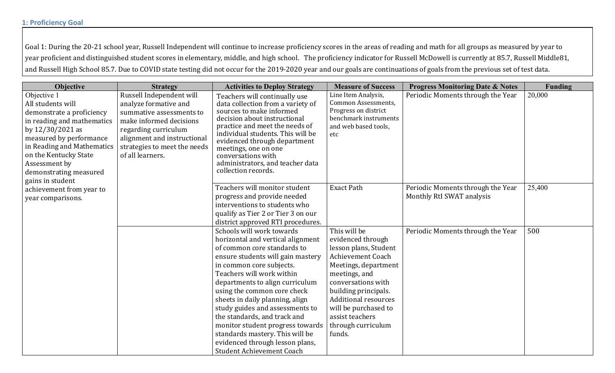#### **1: Proficiency Goal**

Goal 1: During the 20-21 school year, Russell Independent will continue to increase proficiency scores in the areas of reading and math for all groups as measured by year to year proficient and distinguished student scores in elementary, middle, and high school. The proficiency indicator for Russell McDowell is currently at 85.7, Russell Middle81, and Russell High School 85.7. Due to COVID state testing did not occur for the 2019-2020 year and our goals are continuations of goals from the previous set of test data.

| Objective                                                                                                                                                                                                                                                 | <b>Strategy</b>                                                                                                                                                                                                     | <b>Activities to Deploy Strategy</b>                                                                                                                                                                                                                                                                                                                                                                                                                                                                       | <b>Measure of Success</b>                                                                                                                                                                                                                                                               | <b>Progress Monitoring Date &amp; Notes</b>                    | <b>Funding</b> |
|-----------------------------------------------------------------------------------------------------------------------------------------------------------------------------------------------------------------------------------------------------------|---------------------------------------------------------------------------------------------------------------------------------------------------------------------------------------------------------------------|------------------------------------------------------------------------------------------------------------------------------------------------------------------------------------------------------------------------------------------------------------------------------------------------------------------------------------------------------------------------------------------------------------------------------------------------------------------------------------------------------------|-----------------------------------------------------------------------------------------------------------------------------------------------------------------------------------------------------------------------------------------------------------------------------------------|----------------------------------------------------------------|----------------|
| Objective $\overline{1}$<br>All students will<br>demonstrate a proficiency<br>in reading and mathematics<br>by 12/30/2021 as<br>measured by performance<br>in Reading and Mathematics<br>on the Kentucky State<br>Assessment by<br>demonstrating measured | Russell Independent will<br>analyze formative and<br>summative assessments to<br>make informed decisions<br>regarding curriculum<br>alignment and instructional<br>strategies to meet the needs<br>of all learners. | Teachers will continually use<br>data collection from a variety of<br>sources to make informed<br>decision about instructional<br>practice and meet the needs of<br>individual students. This will be<br>evidenced through department<br>meetings, one on one<br>conversations with<br>administrators, and teacher data<br>collection records.                                                                                                                                                             | Line Item Analysis,<br>Common Assessments,<br>Progress on district<br>benchmark instruments<br>and web based tools,<br>etc                                                                                                                                                              | Periodic Moments through the Year                              | 20,000         |
| gains in student<br>achievement from year to<br>year comparisons.                                                                                                                                                                                         |                                                                                                                                                                                                                     | Teachers will monitor student<br>progress and provide needed<br>interventions to students who<br>qualify as Tier 2 or Tier 3 on our<br>district approved RTI procedures.                                                                                                                                                                                                                                                                                                                                   | <b>Exact Path</b>                                                                                                                                                                                                                                                                       | Periodic Moments through the Year<br>Monthly RtI SWAT analysis | 25,400         |
|                                                                                                                                                                                                                                                           |                                                                                                                                                                                                                     | Schools will work towards<br>horizontal and vertical alignment<br>of common core standards to<br>ensure students will gain mastery<br>in common core subjects.<br>Teachers will work within<br>departments to align curriculum<br>using the common core check<br>sheets in daily planning, align<br>study guides and assessments to<br>the standards, and track and<br>monitor student progress towards<br>standards mastery. This will be<br>evidenced through lesson plans,<br>Student Achievement Coach | This will be<br>evidenced through<br>lesson plans, Student<br><b>Achievement Coach</b><br>Meetings, department<br>meetings, and<br>conversations with<br>building principals.<br><b>Additional resources</b><br>will be purchased to<br>assist teachers<br>through curriculum<br>funds. | Periodic Moments through the Year                              | 500            |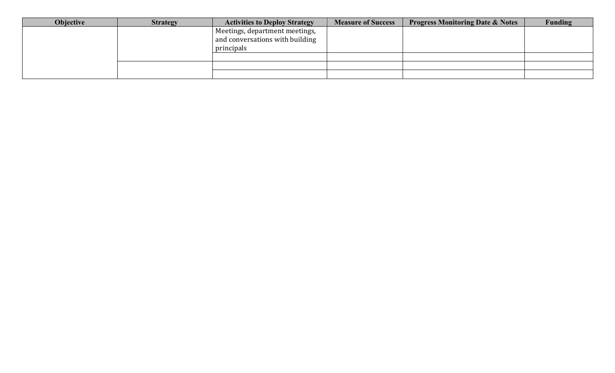| <b>Objective</b> | <b>Strategy</b> | <b>Activities to Deploy Strategy</b>                                            | <b>Measure of Success</b> | <b>Progress Monitoring Date &amp; Notes</b> | <b>Funding</b> |
|------------------|-----------------|---------------------------------------------------------------------------------|---------------------------|---------------------------------------------|----------------|
|                  |                 | Meetings, department meetings,<br>and conversations with building<br>principals |                           |                                             |                |
|                  |                 |                                                                                 |                           |                                             |                |
|                  |                 |                                                                                 |                           |                                             |                |
|                  |                 |                                                                                 |                           |                                             |                |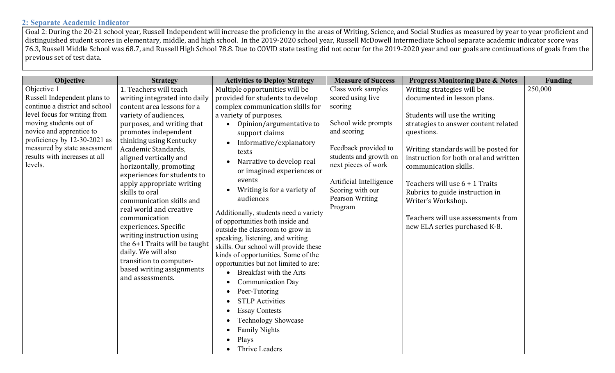#### **2: Separate Academic Indicator**

Goal 2: During the 20-21 school year, Russell Independent will increase the proficiency in the areas of Writing, Science, and Social Studies as measured by year to year proficient and distinguished student scores in elementary, middle, and high school. In the 2019-2020 school year, Russell McDowell Intermediate School separate academic indicator score was 76.3, Russell Middle School was 68.7, and Russell High School 78.8. Due to COVID state testing did not occur for the 2019-2020 year and our goals are continuations of goals from the previous set of test data.

| Objective                                                                                                                                                                                                                                                                       | <b>Strategy</b>                                                                                                                                                                                                                                                                                                                                                                                                                                                                                                                                                                                                             | <b>Activities to Deploy Strategy</b>                                                                                                                                                                                                                                                                                                                                                                                                                                                                                                                                                                                                                                                                                                                                                                                                       | <b>Measure of Success</b>                                                                                                                                                                                                                      | <b>Progress Monitoring Date &amp; Notes</b>                                                                                                                                                                                                                                                                                                                                                                                  | <b>Funding</b> |
|---------------------------------------------------------------------------------------------------------------------------------------------------------------------------------------------------------------------------------------------------------------------------------|-----------------------------------------------------------------------------------------------------------------------------------------------------------------------------------------------------------------------------------------------------------------------------------------------------------------------------------------------------------------------------------------------------------------------------------------------------------------------------------------------------------------------------------------------------------------------------------------------------------------------------|--------------------------------------------------------------------------------------------------------------------------------------------------------------------------------------------------------------------------------------------------------------------------------------------------------------------------------------------------------------------------------------------------------------------------------------------------------------------------------------------------------------------------------------------------------------------------------------------------------------------------------------------------------------------------------------------------------------------------------------------------------------------------------------------------------------------------------------------|------------------------------------------------------------------------------------------------------------------------------------------------------------------------------------------------------------------------------------------------|------------------------------------------------------------------------------------------------------------------------------------------------------------------------------------------------------------------------------------------------------------------------------------------------------------------------------------------------------------------------------------------------------------------------------|----------------|
| Objective 1<br>Russell Independent plans to<br>continue a district and school<br>level focus for writing from<br>moving students out of<br>novice and apprentice to<br>proficiency by 12-30-2021 as<br>measured by state assessment<br>results with increases at all<br>levels. | 1. Teachers will teach<br>writing integrated into daily<br>content area lessons for a<br>variety of audiences,<br>purposes, and writing that<br>promotes independent<br>thinking using Kentucky<br>Academic Standards,<br>aligned vertically and<br>horizontally, promoting<br>experiences for students to<br>apply appropriate writing<br>skills to oral<br>communication skills and<br>real world and creative<br>communication<br>experiences. Specific<br>writing instruction using<br>the 6+1 Traits will be taught<br>daily. We will also<br>transition to computer-<br>based writing assignments<br>and assessments. | Multiple opportunities will be<br>provided for students to develop<br>complex communication skills for<br>a variety of purposes.<br>Opinion/argumentative to<br>$\bullet$<br>support claims<br>Informative/explanatory<br>texts<br>Narrative to develop real<br>or imagined experiences or<br>events<br>Writing is for a variety of<br>audiences<br>Additionally, students need a variety<br>of opportunities both inside and<br>outside the classroom to grow in<br>speaking, listening, and writing<br>skills. Our school will provide these<br>kinds of opportunities. Some of the<br>opportunities but not limited to are:<br>Breakfast with the Arts<br><b>Communication Day</b><br>Peer-Tutoring<br><b>STLP Activities</b><br><b>Essay Contests</b><br><b>Technology Showcase</b><br><b>Family Nights</b><br>Plays<br>Thrive Leaders | Class work samples<br>scored using live<br>scoring<br>School wide prompts<br>and scoring<br>Feedback provided to<br>students and growth on<br>next pieces of work<br>Artificial Intelligence<br>Scoring with our<br>Pearson Writing<br>Program | Writing strategies will be<br>documented in lesson plans.<br>Students will use the writing<br>strategies to answer content related<br>questions.<br>Writing standards will be posted for<br>instruction for both oral and written<br>communication skills.<br>Teachers will use 6 + 1 Traits<br>Rubrics to guide instruction in<br>Writer's Workshop.<br>Teachers will use assessments from<br>new ELA series purchased K-8. | 250,000        |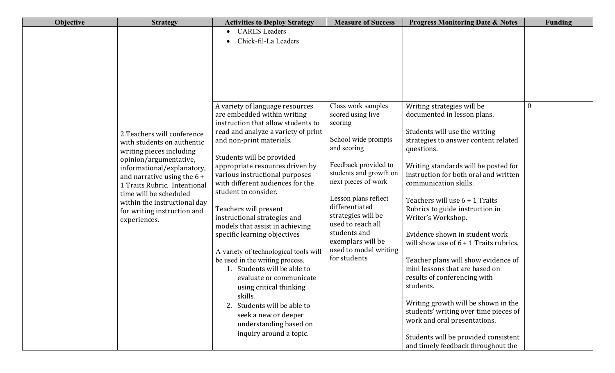| <b>Objective</b> | <b>Strategy</b>                                                                                                                                                                                                                                                                                                         | <b>Activities to Deploy Strategy</b>                                                                                                                                                                                                                                                                                                                                                                                                                                                                                                                                                                                                                                                                                                                      | <b>Measure of Success</b>                                                                                                                                                                                                                                                                                                            | <b>Progress Monitoring Date &amp; Notes</b>                                                                                                                                                                                                                                                                                                                                                                                                                                                                                                                                                                                                                                                                                                             | <b>Funding</b> |
|------------------|-------------------------------------------------------------------------------------------------------------------------------------------------------------------------------------------------------------------------------------------------------------------------------------------------------------------------|-----------------------------------------------------------------------------------------------------------------------------------------------------------------------------------------------------------------------------------------------------------------------------------------------------------------------------------------------------------------------------------------------------------------------------------------------------------------------------------------------------------------------------------------------------------------------------------------------------------------------------------------------------------------------------------------------------------------------------------------------------------|--------------------------------------------------------------------------------------------------------------------------------------------------------------------------------------------------------------------------------------------------------------------------------------------------------------------------------------|---------------------------------------------------------------------------------------------------------------------------------------------------------------------------------------------------------------------------------------------------------------------------------------------------------------------------------------------------------------------------------------------------------------------------------------------------------------------------------------------------------------------------------------------------------------------------------------------------------------------------------------------------------------------------------------------------------------------------------------------------------|----------------|
|                  |                                                                                                                                                                                                                                                                                                                         | <b>CARES</b> Leaders<br>Chick-fil-La Leaders<br>$\bullet$                                                                                                                                                                                                                                                                                                                                                                                                                                                                                                                                                                                                                                                                                                 |                                                                                                                                                                                                                                                                                                                                      |                                                                                                                                                                                                                                                                                                                                                                                                                                                                                                                                                                                                                                                                                                                                                         |                |
|                  | 2. Teachers will conference<br>with students on authentic<br>writing pieces including<br>opinion/argumentative,<br>informational/explanatory,<br>and narrative using the $6 +$<br>1 Traits Rubric. Intentional<br>time will be scheduled<br>within the instructional day<br>for writing instruction and<br>experiences. | A variety of language resources<br>are embedded within writing<br>instruction that allow students to<br>read and analyze a variety of print<br>and non-print materials.<br>Students will be provided<br>appropriate resources driven by<br>various instructional purposes<br>with different audiences for the<br>student to consider.<br>Teachers will present<br>instructional strategies and<br>models that assist in achieving<br>specific learning objectives<br>A variety of technological tools will<br>be used in the writing process.<br>1. Students will be able to<br>evaluate or communicate<br>using critical thinking<br>skills.<br>2. Students will be able to<br>seek a new or deeper<br>understanding based on<br>inquiry around a topic. | Class work samples<br>scored using live<br>scoring<br>School wide prompts<br>and scoring<br>Feedback provided to<br>students and growth on<br>next pieces of work<br>Lesson plans reflect<br>differentiated<br>strategies will be<br>used to reach all<br>students and<br>exemplars will be<br>used to model writing<br>for students | Writing strategies will be<br>documented in lesson plans.<br>Students will use the writing<br>strategies to answer content related<br>questions.<br>Writing standards will be posted for<br>instruction for both oral and written<br>communication skills.<br>Teachers will use 6 + 1 Traits<br>Rubrics to guide instruction in<br>Writer's Workshop.<br>Evidence shown in student work<br>will show use of $6 + 1$ Traits rubrics.<br>Teacher plans will show evidence of<br>mini lessons that are based on<br>results of conferencing with<br>students.<br>Writing growth will be shown in the<br>students' writing over time pieces of<br>work and oral presentations.<br>Students will be provided consistent<br>and timely feedback throughout the | $\overline{0}$ |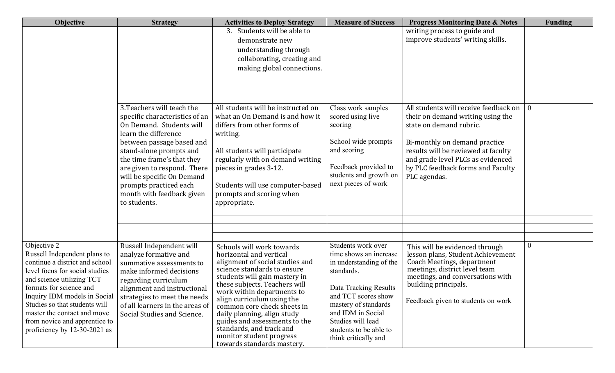| Objective                                                                                                                                                                                                                                                                                                                                | <b>Strategy</b>                                                                                                                                                                                                                                                                                                                            | <b>Activities to Deploy Strategy</b>                                                                                                                                                                                                                                                                                                                                                                                                      | <b>Measure of Success</b>                                                                                                                                                                                                                                 | <b>Progress Monitoring Date &amp; Notes</b>                                                                                                                                                                                                                             | <b>Funding</b> |
|------------------------------------------------------------------------------------------------------------------------------------------------------------------------------------------------------------------------------------------------------------------------------------------------------------------------------------------|--------------------------------------------------------------------------------------------------------------------------------------------------------------------------------------------------------------------------------------------------------------------------------------------------------------------------------------------|-------------------------------------------------------------------------------------------------------------------------------------------------------------------------------------------------------------------------------------------------------------------------------------------------------------------------------------------------------------------------------------------------------------------------------------------|-----------------------------------------------------------------------------------------------------------------------------------------------------------------------------------------------------------------------------------------------------------|-------------------------------------------------------------------------------------------------------------------------------------------------------------------------------------------------------------------------------------------------------------------------|----------------|
|                                                                                                                                                                                                                                                                                                                                          |                                                                                                                                                                                                                                                                                                                                            | Students will be able to<br>3.<br>demonstrate new<br>understanding through<br>collaborating, creating and<br>making global connections.                                                                                                                                                                                                                                                                                                   |                                                                                                                                                                                                                                                           | writing process to guide and<br>improve students' writing skills.                                                                                                                                                                                                       |                |
|                                                                                                                                                                                                                                                                                                                                          | 3. Teachers will teach the<br>specific characteristics of an<br>On Demand. Students will<br>learn the difference<br>between passage based and<br>stand-alone prompts and<br>the time frame's that they<br>are given to respond. There<br>will be specific On Demand<br>prompts practiced each<br>month with feedback given<br>to students. | All students will be instructed on<br>what an On Demand is and how it<br>differs from other forms of<br>writing.<br>All students will participate<br>regularly with on demand writing<br>pieces in grades 3-12.<br>Students will use computer-based<br>prompts and scoring when<br>appropriate.                                                                                                                                           | Class work samples<br>scored using live<br>scoring<br>School wide prompts<br>and scoring<br>Feedback provided to<br>students and growth on<br>next pieces of work                                                                                         | All students will receive feedback on<br>their on demand writing using the<br>state on demand rubric.<br>Bi-monthly on demand practice<br>results will be reviewed at faculty<br>and grade level PLCs as evidenced<br>by PLC feedback forms and Faculty<br>PLC agendas. | $\overline{0}$ |
|                                                                                                                                                                                                                                                                                                                                          |                                                                                                                                                                                                                                                                                                                                            |                                                                                                                                                                                                                                                                                                                                                                                                                                           |                                                                                                                                                                                                                                                           |                                                                                                                                                                                                                                                                         |                |
| Objective 2<br>Russell Independent plans to<br>continue a district and school<br>level focus for social studies<br>and science utilizing TCT<br>formats for science and<br>Inquiry IDM models in Social<br>Studies so that students will<br>master the contact and move<br>from novice and apprentice to<br>proficiency by 12-30-2021 as | Russell Independent will<br>analyze formative and<br>summative assessments to<br>make informed decisions<br>regarding curriculum<br>alignment and instructional<br>strategies to meet the needs<br>of all learners in the areas of<br>Social Studies and Science.                                                                          | Schools will work towards<br>horizontal and vertical<br>alignment of social studies and<br>science standards to ensure<br>students will gain mastery in<br>these subjects. Teachers will<br>work within departments to<br>align curriculum using the<br>common core check sheets in<br>daily planning, align study<br>guides and assessments to the<br>standards, and track and<br>monitor student progress<br>towards standards mastery. | Students work over<br>time shows an increase<br>in understanding of the<br>standards.<br>Data Tracking Results<br>and TCT scores show<br>mastery of standards<br>and IDM in Social<br>Studies will lead<br>students to be able to<br>think critically and | This will be evidenced through<br>lesson plans, Student Achievement<br>Coach Meetings, department<br>meetings, district level team<br>meetings, and conversations with<br>building principals.<br>Feedback given to students on work                                    | $\mathbf{0}$   |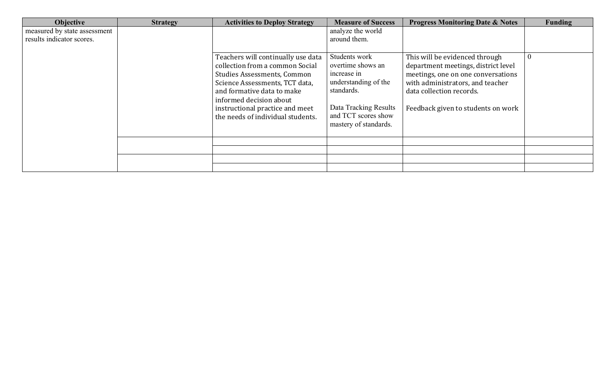| <b>Objective</b>                                          | <b>Strategy</b> | <b>Activities to Deploy Strategy</b>                                                                                                                                                                                                                                           | <b>Measure of Success</b>                                                                                                                                        | <b>Progress Monitoring Date &amp; Notes</b>                                                                                                                                                                       | Funding        |
|-----------------------------------------------------------|-----------------|--------------------------------------------------------------------------------------------------------------------------------------------------------------------------------------------------------------------------------------------------------------------------------|------------------------------------------------------------------------------------------------------------------------------------------------------------------|-------------------------------------------------------------------------------------------------------------------------------------------------------------------------------------------------------------------|----------------|
| measured by state assessment<br>results indicator scores. |                 |                                                                                                                                                                                                                                                                                | analyze the world<br>around them.                                                                                                                                |                                                                                                                                                                                                                   |                |
|                                                           |                 | Teachers will continually use data<br>collection from a common Social<br><b>Studies Assessments, Common</b><br>Science Assessments, TCT data,<br>and formative data to make<br>informed decision about<br>instructional practice and meet<br>the needs of individual students. | Students work<br>overtime shows an<br>increase in<br>understanding of the<br>standards.<br>Data Tracking Results<br>and TCT scores show<br>mastery of standards. | This will be evidenced through<br>department meetings, district level<br>meetings, one on one conversations<br>with administrators, and teacher<br>data collection records.<br>Feedback given to students on work | $\overline{0}$ |
|                                                           |                 |                                                                                                                                                                                                                                                                                |                                                                                                                                                                  |                                                                                                                                                                                                                   |                |
|                                                           |                 |                                                                                                                                                                                                                                                                                |                                                                                                                                                                  |                                                                                                                                                                                                                   |                |
|                                                           |                 |                                                                                                                                                                                                                                                                                |                                                                                                                                                                  |                                                                                                                                                                                                                   |                |
|                                                           |                 |                                                                                                                                                                                                                                                                                |                                                                                                                                                                  |                                                                                                                                                                                                                   |                |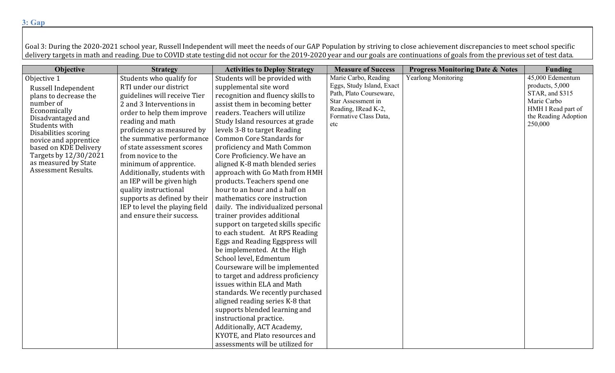#### **3: Gap**

Goal 3: During the 2020-2021 school year, Russell Independent will meet the needs of our GAP Population by striving to close achievement discrepancies to meet school specific delivery targets in math and reading. Due to COVID state testing did not occur for the 2019-2020 year and our goals are continuations of goals from the previous set of test data.

| <b>Objective</b>                   | <b>Strategy</b>                | <b>Activities to Deploy Strategy</b> | <b>Measure of Success</b>                 | <b>Progress Monitoring Date &amp; Notes</b> | <b>Funding</b>                 |
|------------------------------------|--------------------------------|--------------------------------------|-------------------------------------------|---------------------------------------------|--------------------------------|
| Objective 1                        | Students who qualify for       | Students will be provided with       | Marie Carbo, Reading                      | Yearlong Monitoring                         | 45,000 Edementum               |
| Russell Independent                | RTI under our district         | supplemental site word               | Eggs, Study Island, Exact                 |                                             | products, 5,000                |
| plans to decrease the              | guidelines will receive Tier   | recognition and fluency skills to    | Path, Plato Courseware,                   |                                             | STAR, and \$315<br>Marie Carbo |
| number of                          | 2 and 3 Interventions in       | assist them in becoming better       | Star Assessment in<br>Reading, IRead K-2, |                                             | HMH I Read part of             |
| Economically                       | order to help them improve     | readers. Teachers will utilize       | Formative Class Data,                     |                                             | the Reading Adoption           |
| Disadvantaged and<br>Students with | reading and math               | Study Island resources at grade      | etc                                       |                                             | 250,000                        |
| Disabilities scoring               | proficiency as measured by     | levels 3-8 to target Reading         |                                           |                                             |                                |
| novice and apprentice              | the summative performance      | Common Core Standards for            |                                           |                                             |                                |
| based on KDE Delivery              | of state assessment scores     | proficiency and Math Common          |                                           |                                             |                                |
| Targets by 12/30/2021              | from novice to the             | Core Proficiency. We have an         |                                           |                                             |                                |
| as measured by State               | minimum of apprentice.         | aligned K-8 math blended series      |                                           |                                             |                                |
| Assessment Results.                | Additionally, students with    | approach with Go Math from HMH       |                                           |                                             |                                |
|                                    | an IEP will be given high      | products. Teachers spend one         |                                           |                                             |                                |
|                                    | quality instructional          | hour to an hour and a half on        |                                           |                                             |                                |
|                                    | supports as defined by their   | mathematics core instruction         |                                           |                                             |                                |
|                                    | IEP to level the playing field | daily. The individualized personal   |                                           |                                             |                                |
|                                    | and ensure their success.      | trainer provides additional          |                                           |                                             |                                |
|                                    |                                | support on targeted skills specific  |                                           |                                             |                                |
|                                    |                                | to each student. At RPS Reading      |                                           |                                             |                                |
|                                    |                                | Eggs and Reading Eggspress will      |                                           |                                             |                                |
|                                    |                                | be implemented. At the High          |                                           |                                             |                                |
|                                    |                                | School level, Edmentum               |                                           |                                             |                                |
|                                    |                                | Courseware will be implemented       |                                           |                                             |                                |
|                                    |                                | to target and address proficiency    |                                           |                                             |                                |
|                                    |                                | issues within ELA and Math           |                                           |                                             |                                |
|                                    |                                | standards. We recently purchased     |                                           |                                             |                                |
|                                    |                                | aligned reading series K-8 that      |                                           |                                             |                                |
|                                    |                                | supports blended learning and        |                                           |                                             |                                |
|                                    |                                | instructional practice.              |                                           |                                             |                                |
|                                    |                                | Additionally, ACT Academy,           |                                           |                                             |                                |
|                                    |                                | KYOTE, and Plato resources and       |                                           |                                             |                                |
|                                    |                                | assessments will be utilized for     |                                           |                                             |                                |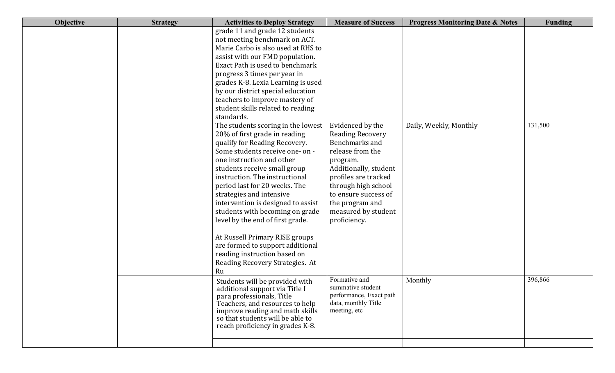| Objective | <b>Strategy</b> | <b>Activities to Deploy Strategy</b>                                                                                                                                                                                                                                                                                                                                                                                                                                                                                                                            | <b>Measure of Success</b>                                                                                                                                                                                                                               | <b>Progress Monitoring Date &amp; Notes</b> | <b>Funding</b> |
|-----------|-----------------|-----------------------------------------------------------------------------------------------------------------------------------------------------------------------------------------------------------------------------------------------------------------------------------------------------------------------------------------------------------------------------------------------------------------------------------------------------------------------------------------------------------------------------------------------------------------|---------------------------------------------------------------------------------------------------------------------------------------------------------------------------------------------------------------------------------------------------------|---------------------------------------------|----------------|
|           |                 | grade 11 and grade 12 students<br>not meeting benchmark on ACT.<br>Marie Carbo is also used at RHS to<br>assist with our FMD population.<br>Exact Path is used to benchmark<br>progress 3 times per year in<br>grades K-8. Lexia Learning is used<br>by our district special education<br>teachers to improve mastery of<br>student skills related to reading<br>standards.                                                                                                                                                                                     |                                                                                                                                                                                                                                                         |                                             |                |
|           |                 | The students scoring in the lowest<br>20% of first grade in reading<br>qualify for Reading Recovery.<br>Some students receive one- on -<br>one instruction and other<br>students receive small group<br>instruction. The instructional<br>period last for 20 weeks. The<br>strategies and intensive<br>intervention is designed to assist<br>students with becoming on grade<br>level by the end of first grade.<br>At Russell Primary RISE groups<br>are formed to support additional<br>reading instruction based on<br>Reading Recovery Strategies. At<br>Ru | Evidenced by the<br><b>Reading Recovery</b><br>Benchmarks and<br>release from the<br>program.<br>Additionally, student<br>profiles are tracked<br>through high school<br>to ensure success of<br>the program and<br>measured by student<br>proficiency. | Daily, Weekly, Monthly                      | 131,500        |
|           |                 | Students will be provided with<br>additional support via Title I<br>para professionals, Title<br>Teachers, and resources to help<br>improve reading and math skills<br>so that students will be able to<br>reach proficiency in grades K-8.                                                                                                                                                                                                                                                                                                                     | Formative and<br>summative student<br>performance, Exact path<br>data, monthly Title<br>meeting, etc                                                                                                                                                    | Monthly                                     | 396,866        |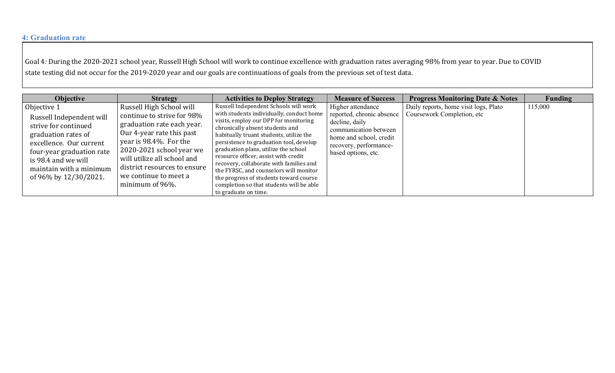#### **4: Graduation rate**

Goal 4*:* During the 2020-2021 school year, Russell High School will work to continue excellence with graduation rates averaging 98% from year to year. Due to COVID state testing did not occur for the 2019-2020 year and our goals are continuations of goals from the previous set of test data.

| <b>Objective</b>                                                                                                                                                                                                          | <b>Strategy</b>                                                                                                                                                                                                                                                                    | <b>Activities to Deploy Strategy</b>                                                                                                                                                                                                                                                                                                                                                                                                                                                                                                   | <b>Measure of Success</b>                                                                                                                                             | <b>Progress Monitoring Date &amp; Notes</b>                         | Funding |
|---------------------------------------------------------------------------------------------------------------------------------------------------------------------------------------------------------------------------|------------------------------------------------------------------------------------------------------------------------------------------------------------------------------------------------------------------------------------------------------------------------------------|----------------------------------------------------------------------------------------------------------------------------------------------------------------------------------------------------------------------------------------------------------------------------------------------------------------------------------------------------------------------------------------------------------------------------------------------------------------------------------------------------------------------------------------|-----------------------------------------------------------------------------------------------------------------------------------------------------------------------|---------------------------------------------------------------------|---------|
| Objective 1<br>Russell Independent will<br>strive for continued<br>graduation rates of<br>excellence. Our current<br>four-year graduation rate<br>is 98.4 and we will<br>maintain with a minimum<br>of 96% by 12/30/2021. | Russell High School will<br>continue to strive for 98%<br>graduation rate each year.<br>Our 4-year rate this past<br>year is 98.4%. For the<br>2020-2021 school year we<br>will utilize all school and<br>district resources to ensure<br>we continue to meet a<br>minimum of 96%. | Russell Independent Schools will work<br>with students individually, conduct home<br>visits, employ our DPP for monitoring<br>chronically absent students and<br>habitually truant students, utilize the<br>persistence to graduation tool, develop<br>graduation plans, utilize the school<br>resource officer, assist with credit<br>recovery, collaborate with families and<br>the FYRSC, and counselors will monitor<br>the progress of students toward course<br>completion so that students will be able<br>to graduate on time. | Higher attendance<br>reported, chronic absence<br>decline, daily<br>communication between<br>home and school, credit<br>recovery, performance-<br>based options, etc. | Daily reports, home visit logs, Plato<br>Coursework Completion, etc | 115,000 |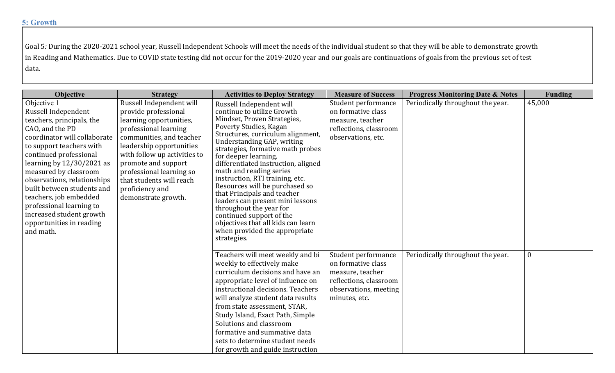#### **5: Growth**

Goal 5*:* During the 2020-2021 school year, Russell Independent Schools will meet the needs of the individual student so that they will be able to demonstrate growth in Reading and Mathematics. Due to COVID state testing did not occur for the 2019-2020 year and our goals are continuations of goals from the previous set of test data.

| <b>Objective</b>                                                                                                                                                                                                                                                                                                                                                                                                         | <b>Strategy</b>                                                                                                                                                                                                                                                                                                       | <b>Activities to Deploy Strategy</b>                                                                                                                                                                                                                                                                                                                                                                                                                                                                                                                                                                   | <b>Measure of Success</b>                                                                                                         | <b>Progress Monitoring Date &amp; Notes</b> | <b>Funding</b> |
|--------------------------------------------------------------------------------------------------------------------------------------------------------------------------------------------------------------------------------------------------------------------------------------------------------------------------------------------------------------------------------------------------------------------------|-----------------------------------------------------------------------------------------------------------------------------------------------------------------------------------------------------------------------------------------------------------------------------------------------------------------------|--------------------------------------------------------------------------------------------------------------------------------------------------------------------------------------------------------------------------------------------------------------------------------------------------------------------------------------------------------------------------------------------------------------------------------------------------------------------------------------------------------------------------------------------------------------------------------------------------------|-----------------------------------------------------------------------------------------------------------------------------------|---------------------------------------------|----------------|
| Objective 1<br>Russell Independent<br>teachers, principals, the<br>CAO, and the PD<br>coordinator will collaborate<br>to support teachers with<br>continued professional<br>learning by $12/30/2021$ as<br>measured by classroom<br>observations, relationships<br>built between students and<br>teachers, job embedded<br>professional learning to<br>increased student growth<br>opportunities in reading<br>and math. | Russell Independent will<br>provide professional<br>learning opportunities,<br>professional learning<br>communities, and teacher<br>leadership opportunities<br>with follow up activities to<br>promote and support<br>professional learning so<br>that students will reach<br>proficiency and<br>demonstrate growth. | Russell Independent will<br>continue to utilize Growth<br>Mindset, Proven Strategies,<br>Poverty Studies, Kagan<br>Structures, curriculum alignment,<br>Understanding GAP, writing<br>strategies, formative math probes<br>for deeper learning,<br>differentiated instruction, aligned<br>math and reading series<br>instruction, RTI training, etc.<br>Resources will be purchased so<br>that Principals and teacher<br>leaders can present mini lessons<br>throughout the year for<br>continued support of the<br>objectives that all kids can learn<br>when provided the appropriate<br>strategies. | Student performance<br>on formative class<br>measure, teacher<br>reflections, classroom<br>observations, etc.                     | Periodically throughout the year.           | 45,000         |
|                                                                                                                                                                                                                                                                                                                                                                                                                          |                                                                                                                                                                                                                                                                                                                       | Teachers will meet weekly and bi<br>weekly to effectively make<br>curriculum decisions and have an<br>appropriate level of influence on<br>instructional decisions. Teachers<br>will analyze student data results<br>from state assessment, STAR,<br>Study Island, Exact Path, Simple<br>Solutions and classroom<br>formative and summative data<br>sets to determine student needs<br>for growth and guide instruction                                                                                                                                                                                | Student performance<br>on formative class<br>measure, teacher<br>reflections, classroom<br>observations, meeting<br>minutes, etc. | Periodically throughout the year.           | $\mathbf{0}$   |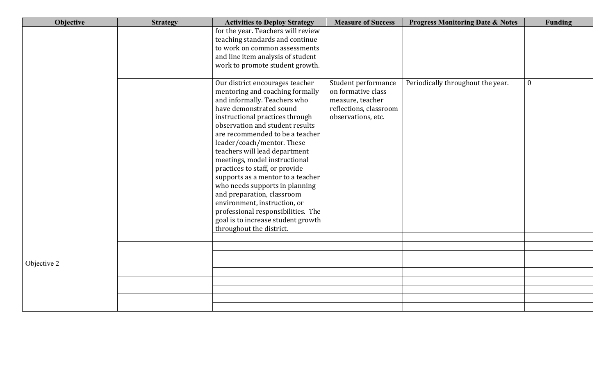| Objective   | <b>Strategy</b> | <b>Activities to Deploy Strategy</b>                                                                                                                                                                                                                                                                                                                                                                                                                                                                                                                                                                                  | <b>Measure of Success</b>                                                                                     | <b>Progress Monitoring Date &amp; Notes</b> | <b>Funding</b> |
|-------------|-----------------|-----------------------------------------------------------------------------------------------------------------------------------------------------------------------------------------------------------------------------------------------------------------------------------------------------------------------------------------------------------------------------------------------------------------------------------------------------------------------------------------------------------------------------------------------------------------------------------------------------------------------|---------------------------------------------------------------------------------------------------------------|---------------------------------------------|----------------|
|             |                 | for the year. Teachers will review<br>teaching standards and continue<br>to work on common assessments<br>and line item analysis of student<br>work to promote student growth.                                                                                                                                                                                                                                                                                                                                                                                                                                        |                                                                                                               |                                             |                |
|             |                 | Our district encourages teacher<br>mentoring and coaching formally<br>and informally. Teachers who<br>have demonstrated sound<br>instructional practices through<br>observation and student results<br>are recommended to be a teacher<br>leader/coach/mentor. These<br>teachers will lead department<br>meetings, model instructional<br>practices to staff, or provide<br>supports as a mentor to a teacher<br>who needs supports in planning<br>and preparation, classroom<br>environment, instruction, or<br>professional responsibilities. The<br>goal is to increase student growth<br>throughout the district. | Student performance<br>on formative class<br>measure, teacher<br>reflections, classroom<br>observations, etc. | Periodically throughout the year.           | $\mathbf{0}$   |
|             |                 |                                                                                                                                                                                                                                                                                                                                                                                                                                                                                                                                                                                                                       |                                                                                                               |                                             |                |
|             |                 |                                                                                                                                                                                                                                                                                                                                                                                                                                                                                                                                                                                                                       |                                                                                                               |                                             |                |
| Objective 2 |                 |                                                                                                                                                                                                                                                                                                                                                                                                                                                                                                                                                                                                                       |                                                                                                               |                                             |                |
|             |                 |                                                                                                                                                                                                                                                                                                                                                                                                                                                                                                                                                                                                                       |                                                                                                               |                                             |                |
|             |                 |                                                                                                                                                                                                                                                                                                                                                                                                                                                                                                                                                                                                                       |                                                                                                               |                                             |                |
|             |                 |                                                                                                                                                                                                                                                                                                                                                                                                                                                                                                                                                                                                                       |                                                                                                               |                                             |                |
|             |                 |                                                                                                                                                                                                                                                                                                                                                                                                                                                                                                                                                                                                                       |                                                                                                               |                                             |                |
|             |                 |                                                                                                                                                                                                                                                                                                                                                                                                                                                                                                                                                                                                                       |                                                                                                               |                                             |                |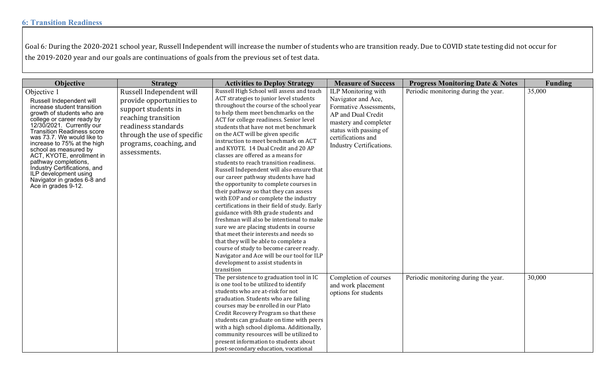### **6: Transition Readiness**

Goal 6*:* During the 2020-2021 school year, Russell Independent will increase the number of students who are transition ready. Due to COVID state testing did not occur for the 2019-2020 year and our goals are continuations of goals from the previous set of test data.

| Objective                                                                                                                                                                                                                                                                                                                                                                                                                                               | <b>Strategy</b>                                                                                                                                                                                     | <b>Activities to Deploy Strategy</b>                                                                                                                                                                                                                                                                                                                                                                                                                                                                                                                                                                                                                                                                                                                                                                                                                                                                                                                                                                                                                                             | <b>Measure of Success</b>                                                                                                                                                                             | <b>Progress Monitoring Date &amp; Notes</b> | <b>Funding</b> |
|---------------------------------------------------------------------------------------------------------------------------------------------------------------------------------------------------------------------------------------------------------------------------------------------------------------------------------------------------------------------------------------------------------------------------------------------------------|-----------------------------------------------------------------------------------------------------------------------------------------------------------------------------------------------------|----------------------------------------------------------------------------------------------------------------------------------------------------------------------------------------------------------------------------------------------------------------------------------------------------------------------------------------------------------------------------------------------------------------------------------------------------------------------------------------------------------------------------------------------------------------------------------------------------------------------------------------------------------------------------------------------------------------------------------------------------------------------------------------------------------------------------------------------------------------------------------------------------------------------------------------------------------------------------------------------------------------------------------------------------------------------------------|-------------------------------------------------------------------------------------------------------------------------------------------------------------------------------------------------------|---------------------------------------------|----------------|
| Objective 1<br>Russell Independent will<br>increase student transition<br>growth of students who are<br>college or career ready by<br>12/30/2021. Currently our<br>Transition Readiness score<br>was 73.7. We would like to<br>increase to 75% at the high<br>school as measured by<br>ACT, KYOTE, enrollment in<br>pathway completions,<br>Industry Certifications, and<br>ILP development using<br>Navigator in grades 6-8 and<br>Ace in grades 9-12. | Russell Independent will<br>provide opportunities to<br>support students in<br>reaching transition<br>readiness standards<br>through the use of specific<br>programs, coaching, and<br>assessments. | Russell High School will assess and teach<br>ACT strategies to junior level students<br>throughout the course of the school year<br>to help them meet benchmarks on the<br>ACT for college readiness. Senior level<br>students that have not met benchmark<br>on the ACT will be given specific<br>instruction to meet benchmark on ACT<br>and KYOTE. 14 Dual Credit and 20 AP<br>classes are offered as a means for<br>students to reach transition readiness.<br>Russell Independent will also ensure that<br>our career pathway students have had<br>the opportunity to complete courses in<br>their pathway so that they can assess<br>with EOP and or complete the industry<br>certifications in their field of study. Early<br>guidance with 8th grade students and<br>freshman will also be intentional to make<br>sure we are placing students in course<br>that meet their interests and needs so<br>that they will be able to complete a<br>course of study to become career ready.<br>Navigator and Ace will be our tool for ILP<br>development to assist students in | <b>ILP</b> Monitoring with<br>Navigator and Ace,<br>Formative Assessments,<br>AP and Dual Credit<br>mastery and completer<br>status with passing of<br>certifications and<br>Industry Certifications. | Periodic monitoring during the year.        | 35,000         |
|                                                                                                                                                                                                                                                                                                                                                                                                                                                         |                                                                                                                                                                                                     | transition<br>The persistence to graduation tool in IC<br>is one tool to be utilized to identify<br>students who are at-risk for not<br>graduation. Students who are failing<br>courses may be enrolled in our Plato<br>Credit Recovery Program so that these<br>students can graduate on time with peers<br>with a high school diploma. Additionally,<br>community resources will be utilized to<br>present information to students about<br>post-secondary education, vocational                                                                                                                                                                                                                                                                                                                                                                                                                                                                                                                                                                                               | Completion of courses<br>and work placement<br>options for students                                                                                                                                   | Periodic monitoring during the year.        | 30,000         |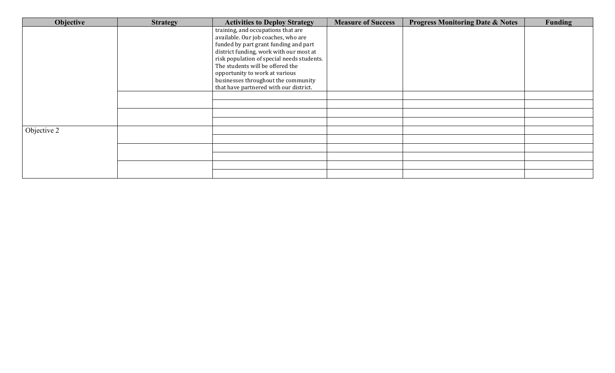| Objective   | <b>Strategy</b> | <b>Activities to Deploy Strategy</b>       | <b>Measure of Success</b> | <b>Progress Monitoring Date &amp; Notes</b> | <b>Funding</b> |
|-------------|-----------------|--------------------------------------------|---------------------------|---------------------------------------------|----------------|
|             |                 | training, and occupations that are         |                           |                                             |                |
|             |                 | available. Our job coaches, who are        |                           |                                             |                |
|             |                 | funded by part grant funding and part      |                           |                                             |                |
|             |                 | district funding, work with our most at    |                           |                                             |                |
|             |                 | risk population of special needs students. |                           |                                             |                |
|             |                 | The students will be offered the           |                           |                                             |                |
|             |                 | opportunity to work at various             |                           |                                             |                |
|             |                 | businesses throughout the community        |                           |                                             |                |
|             |                 | that have partnered with our district.     |                           |                                             |                |
|             |                 |                                            |                           |                                             |                |
|             |                 |                                            |                           |                                             |                |
|             |                 |                                            |                           |                                             |                |
|             |                 |                                            |                           |                                             |                |
| Objective 2 |                 |                                            |                           |                                             |                |
|             |                 |                                            |                           |                                             |                |
|             |                 |                                            |                           |                                             |                |
|             |                 |                                            |                           |                                             |                |
|             |                 |                                            |                           |                                             |                |
|             |                 |                                            |                           |                                             |                |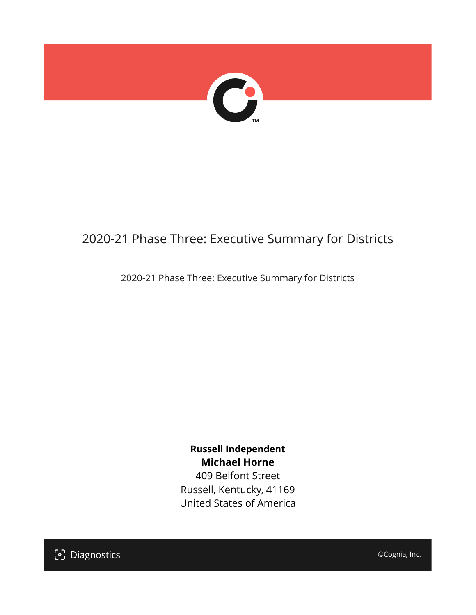

## 2020-21 Phase Three: Executive Summary for Districts

2020-21 Phase Three: Executive Summary for Districts

**Russell Independent Michael Horne** 409 Belfont Street Russell, Kentucky, 41169 United States of America

[၁] Diagnostics

©Cognia, Inc.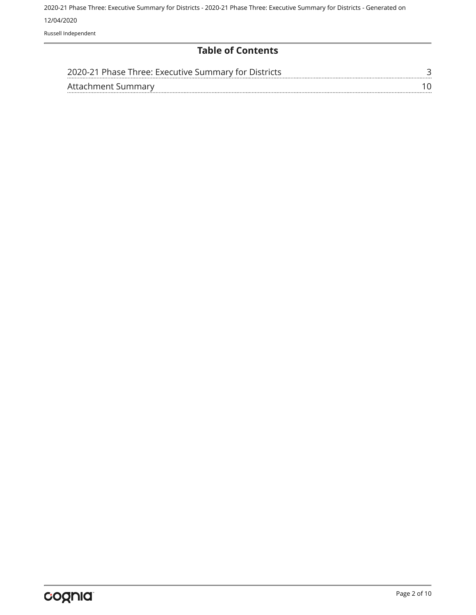#### **Table of Contents**

| 2020-21 Phase Three: Executive Summary for Districts |  |
|------------------------------------------------------|--|
| Attachment Summary                                   |  |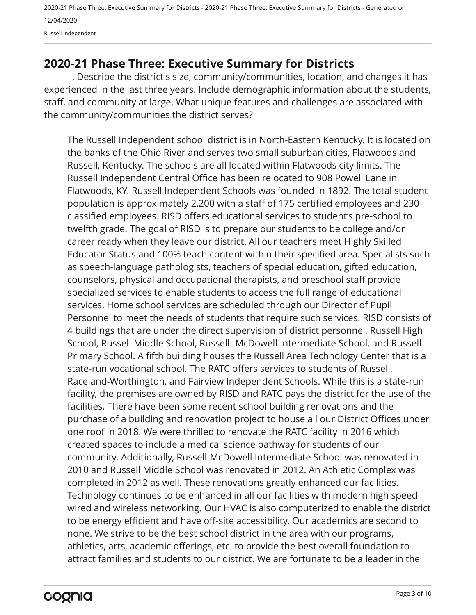### <span id="page-63-0"></span>**2020-21 Phase Three: Executive Summary for Districts**

. Describe the district's size, community/communities, location, and changes it has experienced in the last three years. Include demographic information about the students, staff, and community at large. What unique features and challenges are associated with the community/communities the district serves?

The Russell Independent school district is in North-Eastern Kentucky. It is located on the banks of the Ohio River and serves two small suburban cities, Flatwoods and Russell, Kentucky. The schools are all located within Flatwoods city limits. The Russell Independent Central Office has been relocated to 908 Powell Lane in Flatwoods, KY. Russell Independent Schools was founded in 1892. The total student population is approximately 2,200 with a staff of 175 certified employees and 230 classified employees. RISD offers educational services to student's pre-school to twelfth grade. The goal of RISD is to prepare our students to be college and/or career ready when they leave our district. All our teachers meet Highly Skilled Educator Status and 100% teach content within their specified area. Specialists such as speech-language pathologists, teachers of special education, gifted education, counselors, physical and occupational therapists, and preschool staff provide specialized services to enable students to access the full range of educational services. Home school services are scheduled through our Director of Pupil Personnel to meet the needs of students that require such services. RISD consists of 4 buildings that are under the direct supervision of district personnel, Russell High School, Russell Middle School, Russell- McDowell Intermediate School, and Russell Primary School. A fifth building houses the Russell Area Technology Center that is a state-run vocational school. The RATC offers services to students of Russell, Raceland-Worthington, and Fairview Independent Schools. While this is a state-run facility, the premises are owned by RISD and RATC pays the district for the use of the facilities. There have been some recent school building renovations and the purchase of a building and renovation project to house all our District Offices under one roof in 2018. We were thrilled to renovate the RATC facility in 2016 which created spaces to include a medical science pathway for students of our community. Additionally, Russell-McDowell Intermediate School was renovated in 2010 and Russell Middle School was renovated in 2012. An Athletic Complex was completed in 2012 as well. These renovations greatly enhanced our facilities. Technology continues to be enhanced in all our facilities with modern high speed wired and wireless networking. Our HVAC is also computerized to enable the district to be energy efficient and have off-site accessibility. Our academics are second to none. We strive to be the best school district in the area with our programs, athletics, arts, academic offerings, etc. to provide the best overall foundation to attract families and students to our district. We are fortunate to be a leader in the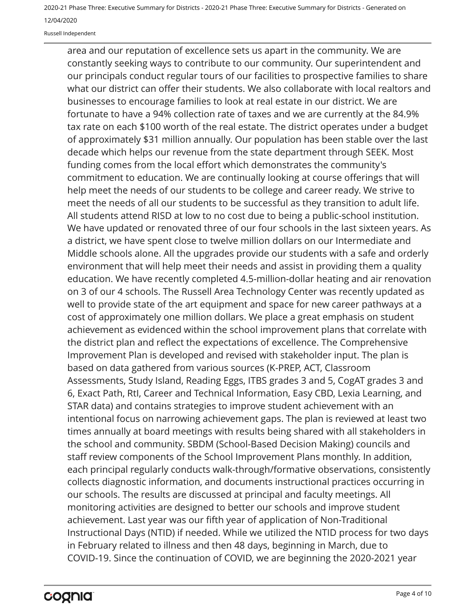Russell Independent

area and our reputation of excellence sets us apart in the community. We are constantly seeking ways to contribute to our community. Our superintendent and our principals conduct regular tours of our facilities to prospective families to share what our district can offer their students. We also collaborate with local realtors and businesses to encourage families to look at real estate in our district. We are fortunate to have a 94% collection rate of taxes and we are currently at the 84.9% tax rate on each \$100 worth of the real estate. The district operates under a budget of approximately \$31 million annually. Our population has been stable over the last decade which helps our revenue from the state department through SEEK. Most funding comes from the local effort which demonstrates the community's commitment to education. We are continually looking at course offerings that will help meet the needs of our students to be college and career ready. We strive to meet the needs of all our students to be successful as they transition to adult life. All students attend RISD at low to no cost due to being a public-school institution. We have updated or renovated three of our four schools in the last sixteen years. As a district, we have spent close to twelve million dollars on our Intermediate and Middle schools alone. All the upgrades provide our students with a safe and orderly environment that will help meet their needs and assist in providing them a quality education. We have recently completed 4.5-million-dollar heating and air renovation on 3 of our 4 schools. The Russell Area Technology Center was recently updated as well to provide state of the art equipment and space for new career pathways at a cost of approximately one million dollars. We place a great emphasis on student achievement as evidenced within the school improvement plans that correlate with the district plan and reflect the expectations of excellence. The Comprehensive Improvement Plan is developed and revised with stakeholder input. The plan is based on data gathered from various sources (K-PREP, ACT, Classroom Assessments, Study Island, Reading Eggs, ITBS grades 3 and 5, CogAT grades 3 and 6, Exact Path, RtI, Career and Technical Information, Easy CBD, Lexia Learning, and STAR data) and contains strategies to improve student achievement with an intentional focus on narrowing achievement gaps. The plan is reviewed at least two times annually at board meetings with results being shared with all stakeholders in the school and community. SBDM (School-Based Decision Making) councils and staff review components of the School Improvement Plans monthly. In addition, each principal regularly conducts walk-through/formative observations, consistently collects diagnostic information, and documents instructional practices occurring in our schools. The results are discussed at principal and faculty meetings. All monitoring activities are designed to better our schools and improve student achievement. Last year was our fifth year of application of Non-Traditional Instructional Days (NTID) if needed. While we utilized the NTID process for two days in February related to illness and then 48 days, beginning in March, due to COVID-19. Since the continuation of COVID, we are beginning the 2020-2021 year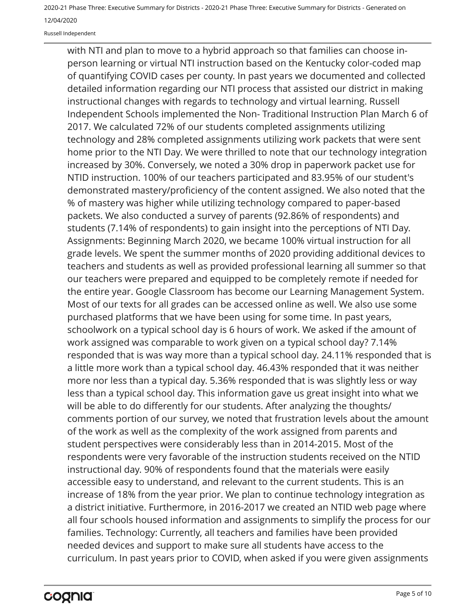Russell Independent

with NTI and plan to move to a hybrid approach so that families can choose inperson learning or virtual NTI instruction based on the Kentucky color-coded map of quantifying COVID cases per county. In past years we documented and collected detailed information regarding our NTI process that assisted our district in making instructional changes with regards to technology and virtual learning. Russell Independent Schools implemented the Non- Traditional Instruction Plan March 6 of 2017. We calculated 72% of our students completed assignments utilizing technology and 28% completed assignments utilizing work packets that were sent home prior to the NTI Day. We were thrilled to note that our technology integration increased by 30%. Conversely, we noted a 30% drop in paperwork packet use for NTID instruction. 100% of our teachers participated and 83.95% of our student's demonstrated mastery/proficiency of the content assigned. We also noted that the % of mastery was higher while utilizing technology compared to paper-based packets. We also conducted a survey of parents (92.86% of respondents) and students (7.14% of respondents) to gain insight into the perceptions of NTI Day. Assignments: Beginning March 2020, we became 100% virtual instruction for all grade levels. We spent the summer months of 2020 providing additional devices to teachers and students as well as provided professional learning all summer so that our teachers were prepared and equipped to be completely remote if needed for the entire year. Google Classroom has become our Learning Management System. Most of our texts for all grades can be accessed online as well. We also use some purchased platforms that we have been using for some time. In past years, schoolwork on a typical school day is 6 hours of work. We asked if the amount of work assigned was comparable to work given on a typical school day? 7.14% responded that is was way more than a typical school day. 24.11% responded that is a little more work than a typical school day. 46.43% responded that it was neither more nor less than a typical day. 5.36% responded that is was slightly less or way less than a typical school day. This information gave us great insight into what we will be able to do differently for our students. After analyzing the thoughts/ comments portion of our survey, we noted that frustration levels about the amount of the work as well as the complexity of the work assigned from parents and student perspectives were considerably less than in 2014-2015. Most of the respondents were very favorable of the instruction students received on the NTID instructional day. 90% of respondents found that the materials were easily accessible easy to understand, and relevant to the current students. This is an increase of 18% from the year prior. We plan to continue technology integration as a district initiative. Furthermore, in 2016-2017 we created an NTID web page where all four schools housed information and assignments to simplify the process for our families. Technology: Currently, all teachers and families have been provided needed devices and support to make sure all students have access to the curriculum. In past years prior to COVID, when asked if you were given assignments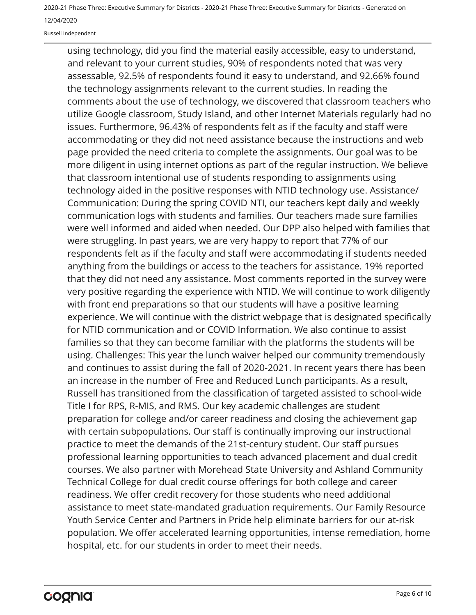Russell Independent

using technology, did you find the material easily accessible, easy to understand, and relevant to your current studies, 90% of respondents noted that was very assessable, 92.5% of respondents found it easy to understand, and 92.66% found the technology assignments relevant to the current studies. In reading the comments about the use of technology, we discovered that classroom teachers who utilize Google classroom, Study Island, and other Internet Materials regularly had no issues. Furthermore, 96.43% of respondents felt as if the faculty and staff were accommodating or they did not need assistance because the instructions and web page provided the need criteria to complete the assignments. Our goal was to be more diligent in using internet options as part of the regular instruction. We believe that classroom intentional use of students responding to assignments using technology aided in the positive responses with NTID technology use. Assistance/ Communication: During the spring COVID NTI, our teachers kept daily and weekly communication logs with students and families. Our teachers made sure families were well informed and aided when needed. Our DPP also helped with families that were struggling. In past years, we are very happy to report that 77% of our respondents felt as if the faculty and staff were accommodating if students needed anything from the buildings or access to the teachers for assistance. 19% reported that they did not need any assistance. Most comments reported in the survey were very positive regarding the experience with NTID. We will continue to work diligently with front end preparations so that our students will have a positive learning experience. We will continue with the district webpage that is designated specifically for NTID communication and or COVID Information. We also continue to assist families so that they can become familiar with the platforms the students will be using. Challenges: This year the lunch waiver helped our community tremendously and continues to assist during the fall of 2020-2021. In recent years there has been an increase in the number of Free and Reduced Lunch participants. As a result, Russell has transitioned from the classification of targeted assisted to school-wide Title I for RPS, R-MIS, and RMS. Our key academic challenges are student preparation for college and/or career readiness and closing the achievement gap with certain subpopulations. Our staff is continually improving our instructional practice to meet the demands of the 21st-century student. Our staff pursues professional learning opportunities to teach advanced placement and dual credit courses. We also partner with Morehead State University and Ashland Community Technical College for dual credit course offerings for both college and career readiness. We offer credit recovery for those students who need additional assistance to meet state-mandated graduation requirements. Our Family Resource Youth Service Center and Partners in Pride help eliminate barriers for our at-risk population. We offer accelerated learning opportunities, intense remediation, home hospital, etc. for our students in order to meet their needs.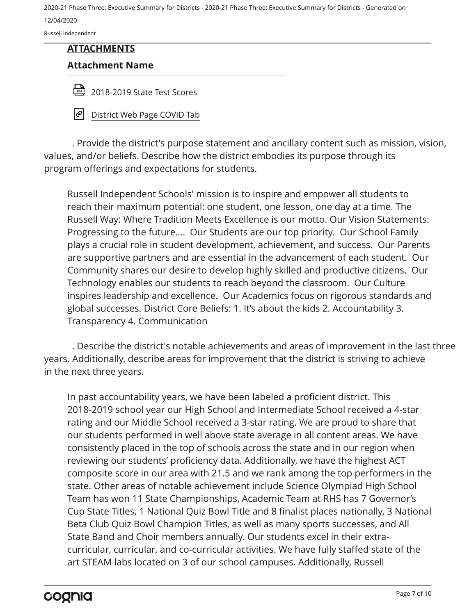Russell Independent

#### **ATTACHMENTS**

#### **Attachment Name**

2018-2019 State Test Scores



. Provide the district's purpose statement and ancillary content such as mission, vision, values, and/or beliefs. Describe how the district embodies its purpose through its program offerings and expectations for students.

Russell Independent Schools' mission is to inspire and empower all students to reach their maximum potential: one student, one lesson, one day at a time. The Russell Way: Where Tradition Meets Excellence is our motto. Our Vision Statements: Progressing to the future…. Our Students are our top priority. Our School Family plays a crucial role in student development, achievement, and success. Our Parents are supportive partners and are essential in the advancement of each student. Our Community shares our desire to develop highly skilled and productive citizens. Our Technology enables our students to reach beyond the classroom. Our Culture inspires leadership and excellence. Our Academics focus on rigorous standards and global successes. District Core Beliefs: 1. It's about the kids 2. Accountability 3. Transparency 4. Communication

. Describe the district's notable achievements and areas of improvement in the last three years. Additionally, describe areas for improvement that the district is striving to achieve in the next three years.

In past accountability years, we have been labeled a proficient district. This 2018-2019 school year our High School and Intermediate School received a 4-star rating and our Middle School received a 3-star rating. We are proud to share that our students performed in well above state average in all content areas. We have consistently placed in the top of schools across the state and in our region when reviewing our students' proficiency data. Additionally, we have the highest ACT composite score in our area with 21.5 and we rank among the top performers in the state. Other areas of notable achievement include Science Olympiad High School Team has won 11 State Championships, Academic Team at RHS has 7 Governor's Cup State Titles, 1 National Quiz Bowl Title and 8 finalist places nationally, 3 National Beta Club Quiz Bowl Champion Titles, as well as many sports successes, and All State Band and Choir members annually. Our students excel in their extracurricular, curricular, and co-curricular activities. We have fully staffed state of the art STEAM labs located on 3 of our school campuses. Additionally, Russell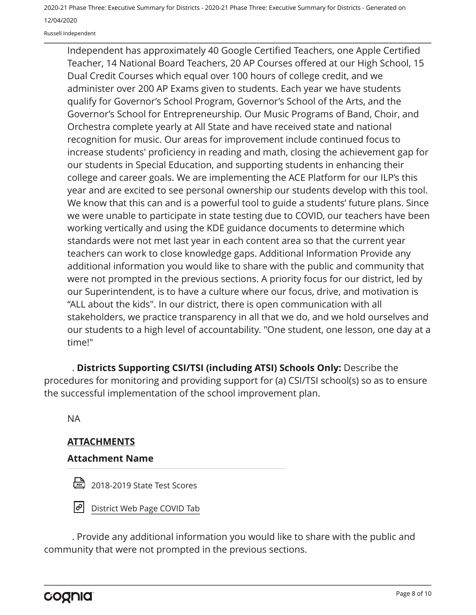Russell Independent

Independent has approximately 40 Google Certified Teachers, one Apple Certified Teacher, 14 National Board Teachers, 20 AP Courses offered at our High School, 15 Dual Credit Courses which equal over 100 hours of college credit, and we administer over 200 AP Exams given to students. Each year we have students qualify for Governor's School Program, Governor's School of the Arts, and the Governor's School for Entrepreneurship. Our Music Programs of Band, Choir, and Orchestra complete yearly at All State and have received state and national recognition for music. Our areas for improvement include continued focus to increase students' proficiency in reading and math, closing the achievement gap for our students in Special Education, and supporting students in enhancing their college and career goals. We are implementing the ACE Platform for our ILP's this year and are excited to see personal ownership our students develop with this tool. We know that this can and is a powerful tool to guide a students' future plans. Since we were unable to participate in state testing due to COVID, our teachers have been working vertically and using the KDE guidance documents to determine which standards were not met last year in each content area so that the current year teachers can work to close knowledge gaps. Additional Information Provide any additional information you would like to share with the public and community that were not prompted in the previous sections. A priority focus for our district, led by our Superintendent, is to have a culture where our focus, drive, and motivation is "ALL about the kids". In our district, there is open communication with all stakeholders, we practice transparency in all that we do, and we hold ourselves and our students to a high level of accountability. "One student, one lesson, one day at a time!"

. **Districts Supporting CSI/TSI (including ATSI) Schools Only:** Describe the procedures for monitoring and providing support for (a) CSI/TSI school(s) so as to ensure the successful implementation of the school improvement plan.

NA

#### **ATTACHMENTS**

#### **Attachment Name**





[District Web Page COVID Tab](https://www.russellind.kyschools.us/)

. Provide any additional information you would like to share with the public and community that were not prompted in the previous sections.

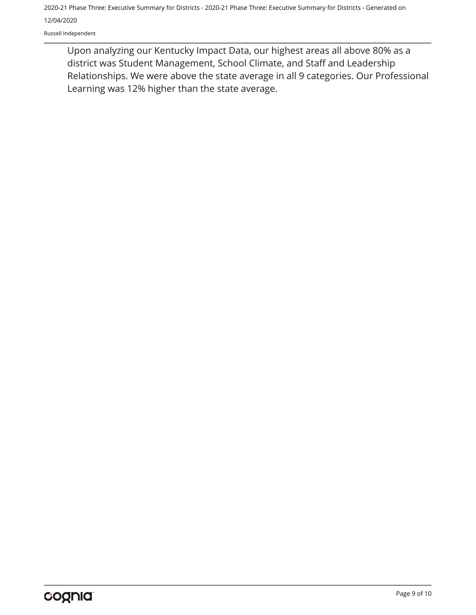Russell Independent

Upon analyzing our Kentucky Impact Data, our highest areas all above 80% as a district was Student Management, School Climate, and Staff and Leadership Relationships. We were above the state average in all 9 categories. Our Professional Learning was 12% higher than the state average.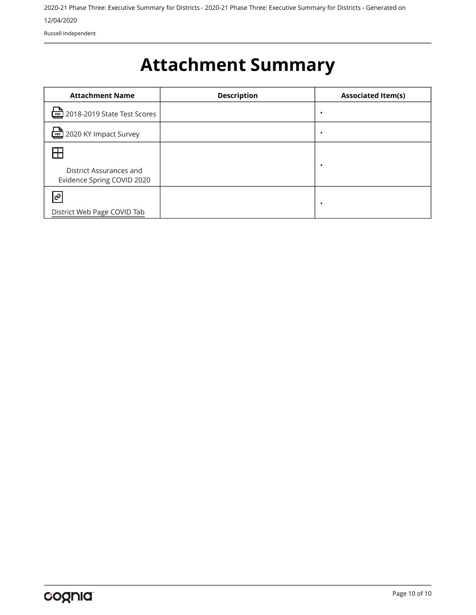Russell Independent

# <span id="page-70-0"></span>**Attachment Summary**

| <b>Attachment Name</b>                                | <b>Description</b> | <b>Associated Item(s)</b> |
|-------------------------------------------------------|--------------------|---------------------------|
| 2018-2019 State Test Scores                           |                    | ٠                         |
| <b>@</b> 2020 KY Impact Survey                        |                    | ٠                         |
| ╄                                                     |                    |                           |
| District Assurances and<br>Evidence Spring COVID 2020 |                    | ٠                         |
| $ \hat{c}$                                            |                    | ٠                         |
| District Web Page COVID Tab                           |                    |                           |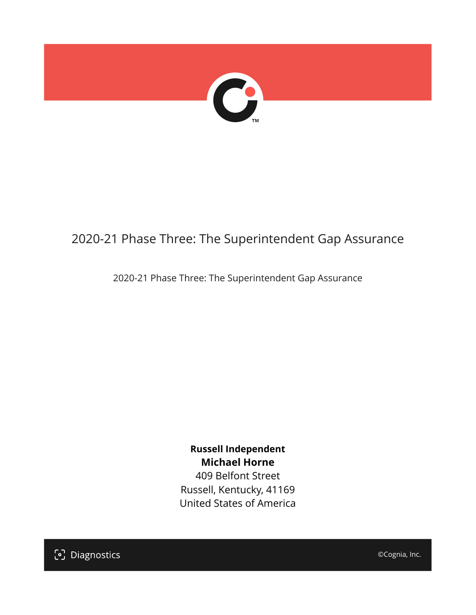

# 2020-21 Phase Three: The Superintendent Gap Assurance

2020-21 Phase Three: The Superintendent Gap Assurance

**Russell Independent Michael Horne** 409 Belfont Street Russell, Kentucky, 41169 United States of America

[၁] Diagnostics

©Cognia, Inc.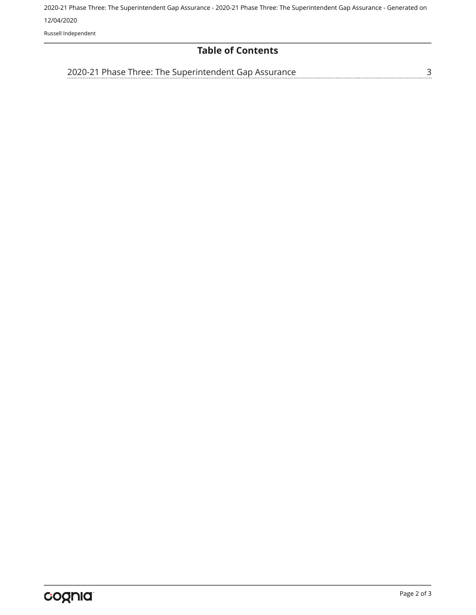2020-21 Phase Three: The Superintendent Gap Assurance - 2020-21 Phase Three: The Superintendent Gap Assurance - Generated on 12/04/2020

Russell Independent

## **Table of Contents**

[3](#page-73-0) [2020-21 Phase Three: The Superintendent Gap Assurance](#page-73-0)